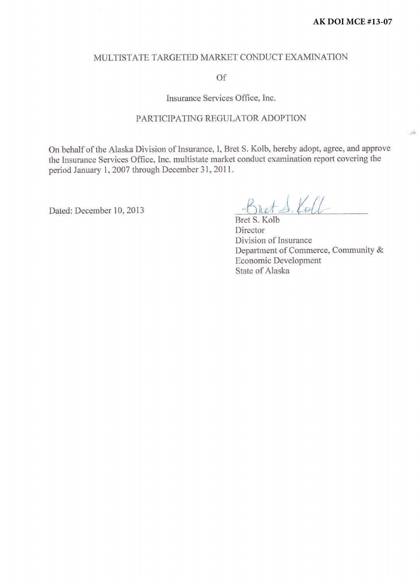$-50$ 

#### MULTISTATE TARGETED MARKET CONDUCT EXAMINATION

of

Insurance Services Office, Inc.

#### PARTICIPATING REGULATOR ADOPTION

On behalf of the Alaska Division of Insurance, I, Bret S. Kolb, hereby adopt, agree, and approve the lnsurance Services Office, Inc. multistate market conduct examination report covering the period January 1,2007 through December 31,2011.

Dated: December 10, 2013

Koll

Bret S. Kolb Director Division of Insurance Department of Commerce, Community & Economic Development State of Alaska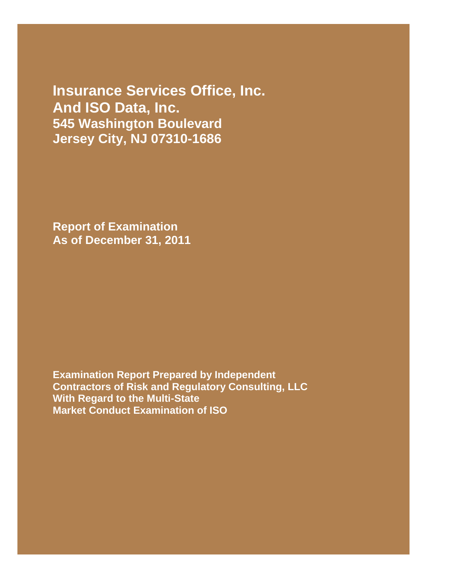**Insurance Services Office, Inc. And ISO Data, Inc. 545 Washington Boulevard Jersey City, NJ 07310-1686**

**Report of Examination As of December 31, 2011**

**Examination Report Prepared by Independent Contractors of Risk and Regulatory Consulting, LLC With Regard to the Multi-State Market Conduct Examination of ISO**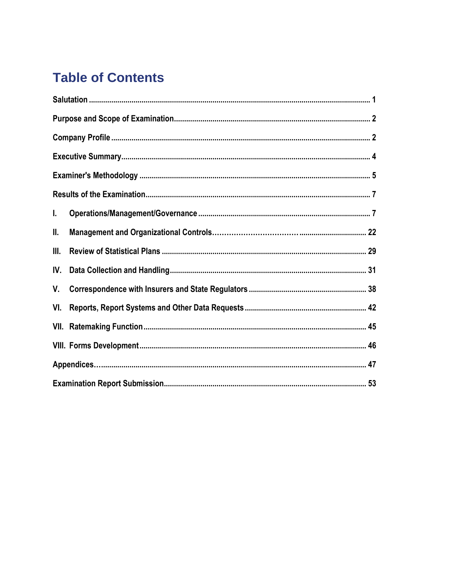# **Table of Contents**

| L.   |  |  |  |  |  |  |
|------|--|--|--|--|--|--|
| Ш.   |  |  |  |  |  |  |
| III. |  |  |  |  |  |  |
| IV.  |  |  |  |  |  |  |
| V.   |  |  |  |  |  |  |
| VI.  |  |  |  |  |  |  |
|      |  |  |  |  |  |  |
|      |  |  |  |  |  |  |
|      |  |  |  |  |  |  |
|      |  |  |  |  |  |  |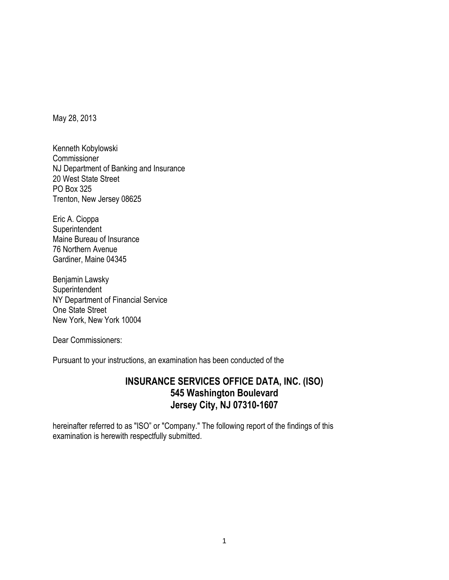May 28, 2013

Kenneth Kobylowski Commissioner NJ Department of Banking and Insurance 20 West State Street PO Box 325 Trenton, New Jersey 08625

Eric A. Cioppa **Superintendent** Maine Bureau of Insurance 76 Northern Avenue Gardiner, Maine 04345

Benjamin Lawsky **Superintendent** NY Department of Financial Service One State Street New York, New York 10004

Dear Commissioners:

Pursuant to your instructions, an examination has been conducted of the

# **INSURANCE SERVICES OFFICE DATA, INC. (ISO) 545 Washington Boulevard Jersey City, NJ 07310-1607**

hereinafter referred to as "ISO" or "Company." The following report of the findings of this examination is herewith respectfully submitted.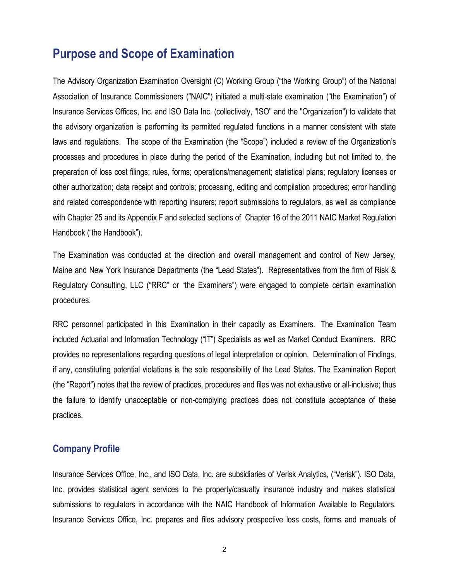# **Purpose and Scope of Examination**

The Advisory Organization Examination Oversight (C) Working Group ("the Working Group") of the National Association of Insurance Commissioners ("NAIC") initiated a multi-state examination ("the Examination") of Insurance Services Offices, Inc. and ISO Data Inc. (collectively, "ISO" and the "Organization") to validate that the advisory organization is performing its permitted regulated functions in a manner consistent with state laws and regulations. The scope of the Examination (the "Scope") included a review of the Organization's processes and procedures in place during the period of the Examination, including but not limited to, the preparation of loss cost filings; rules, forms; operations/management; statistical plans; regulatory licenses or other authorization; data receipt and controls; processing, editing and compilation procedures; error handling and related correspondence with reporting insurers; report submissions to regulators, as well as compliance with Chapter 25 and its Appendix F and selected sections of Chapter 16 of the 2011 NAIC Market Regulation Handbook ("the Handbook").

The Examination was conducted at the direction and overall management and control of New Jersey, Maine and New York Insurance Departments (the "Lead States"). Representatives from the firm of Risk & Regulatory Consulting, LLC ("RRC" or "the Examiners") were engaged to complete certain examination procedures.

RRC personnel participated in this Examination in their capacity as Examiners. The Examination Team included Actuarial and Information Technology ("IT") Specialists as well as Market Conduct Examiners. RRC provides no representations regarding questions of legal interpretation or opinion. Determination of Findings, if any, constituting potential violations is the sole responsibility of the Lead States. The Examination Report (the "Report") notes that the review of practices, procedures and files was not exhaustive or all-inclusive; thus the failure to identify unacceptable or non-complying practices does not constitute acceptance of these practices.

# **Company Profile**

Insurance Services Office, Inc., and ISO Data, Inc. are subsidiaries of Verisk Analytics, ("Verisk"). ISO Data, Inc. provides statistical agent services to the property/casualty insurance industry and makes statistical submissions to regulators in accordance with the NAIC Handbook of Information Available to Regulators. Insurance Services Office, Inc. prepares and files advisory prospective loss costs, forms and manuals of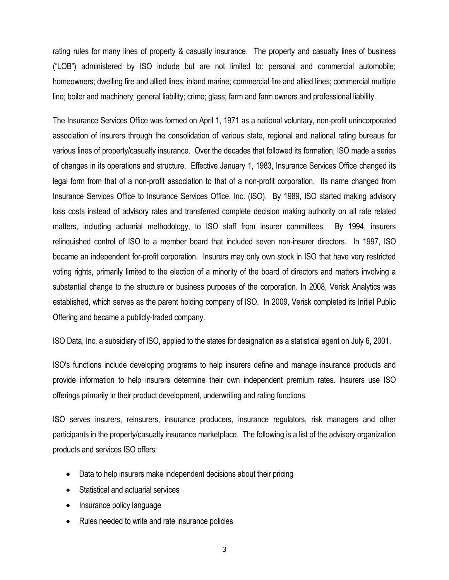rating rules for many lines of property & casualty insurance. The property and casualty lines of business ("LOB") administered by ISO include but are not limited to: personal and commercial automobile; homeowners; dwelling fire and allied lines; inland marine; commercial fire and allied lines; commercial multiple line; boiler and machinery; general liability; crime; glass; farm and farm owners and professional liability.

The Insurance Services Office was formed on April 1, 1971 as a national voluntary, non-profit unincorporated association of insurers through the consolidation of various state, regional and national rating bureaus for various lines of property/casualty insurance. Over the decades that followed its formation, ISO made a series of changes in its operations and structure. Effective January 1, 1983, Insurance Services Office changed its legal form from that of a non-profit association to that of a non-profit corporation. Its name changed from Insurance Services Office to Insurance Services Office, Inc. (ISO). By 1989, ISO started making advisory loss costs instead of advisory rates and transferred complete decision making authority on all rate related matters, including actuarial methodology, to ISO staff from insurer committees. By 1994, insurers relinquished control of ISO to a member board that included seven non-insurer directors. In 1997, ISO became an independent for-profit corporation. Insurers may only own stock in ISO that have very restricted voting rights, primarily limited to the election of a minority of the board of directors and matters involving a substantial change to the structure or business purposes of the corporation. In 2008, Verisk Analytics was established, which serves as the parent holding company of ISO. In 2009, Verisk completed its Initial Public Offering and became a publicly-traded company.

ISO Data, Inc. a subsidiary of ISO, applied to the states for designation as a statistical agent on July 6, 2001.

ISO's functions include developing programs to help insurers define and manage insurance products and provide information to help insurers determine their own independent premium rates. Insurers use ISO offerings primarily in their product development, underwriting and rating functions.

ISO serves insurers, reinsurers, insurance producers, insurance regulators, risk managers and other participants in the property/casualty insurance marketplace. The following is a list of the advisory organization products and services ISO offers:

- Data to help insurers make independent decisions about their pricing
- Statistical and actuarial services
- Insurance policy language
- Rules needed to write and rate insurance policies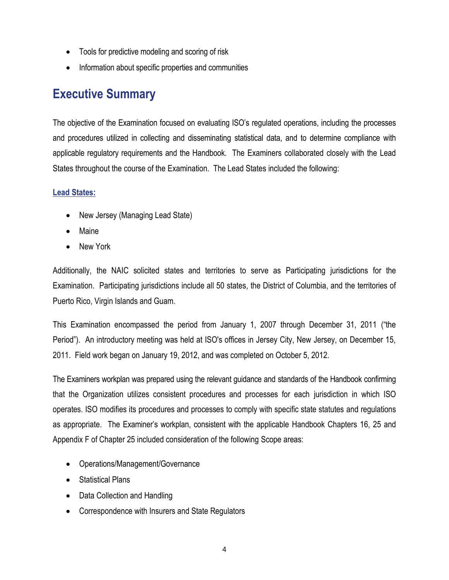- Tools for predictive modeling and scoring of risk
- Information about specific properties and communities

# **Executive Summary**

The objective of the Examination focused on evaluating ISO's regulated operations, including the processes and procedures utilized in collecting and disseminating statistical data, and to determine compliance with applicable regulatory requirements and the Handbook. The Examiners collaborated closely with the Lead States throughout the course of the Examination. The Lead States included the following:

## **Lead States:**

- New Jersey (Managing Lead State)
- Maine
- New York

Additionally, the NAIC solicited states and territories to serve as Participating jurisdictions for the Examination. Participating jurisdictions include all 50 states, the District of Columbia, and the territories of Puerto Rico, Virgin Islands and Guam.

This Examination encompassed the period from January 1, 2007 through December 31, 2011 ("the Period"). An introductory meeting was held at ISO's offices in Jersey City, New Jersey, on December 15, 2011. Field work began on January 19, 2012, and was completed on October 5, 2012.

The Examiners workplan was prepared using the relevant guidance and standards of the Handbook confirming that the Organization utilizes consistent procedures and processes for each jurisdiction in which ISO operates. ISO modifies its procedures and processes to comply with specific state statutes and regulations as appropriate. The Examiner's workplan, consistent with the applicable Handbook Chapters 16, 25 and Appendix F of Chapter 25 included consideration of the following Scope areas:

- Operations/Management/Governance
- Statistical Plans
- Data Collection and Handling
- Correspondence with Insurers and State Regulators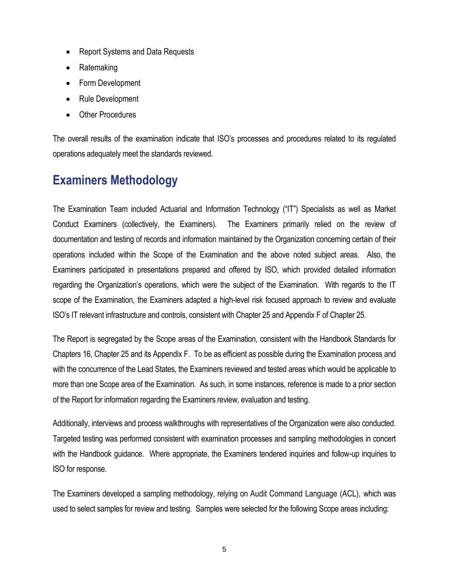- Report Systems and Data Requests
- Ratemaking
- Form Development
- Rule Development
- Other Procedures

The overall results of the examination indicate that ISO's processes and procedures related to its regulated operations adequately meet the standards reviewed.

# **Examiners Methodology**

The Examination Team included Actuarial and Information Technology ("IT") Specialists as well as Market Conduct Examiners (collectively, the Examiners). The Examiners primarily relied on the review of documentation and testing of records and information maintained by the Organization concerning certain of their operations included within the Scope of the Examination and the above noted subject areas. Also, the Examiners participated in presentations prepared and offered by ISO, which provided detailed information regarding the Organization's operations, which were the subject of the Examination. With regards to the IT scope of the Examination, the Examiners adapted a high-level risk focused approach to review and evaluate ISO's IT relevant infrastructure and controls, consistent with Chapter 25 and Appendix F of Chapter 25.

The Report is segregated by the Scope areas of the Examination, consistent with the Handbook Standards for Chapters 16, Chapter 25 and its Appendix F. To be as efficient as possible during the Examination process and with the concurrence of the Lead States, the Examiners reviewed and tested areas which would be applicable to more than one Scope area of the Examination. As such, in some instances, reference is made to a prior section of the Report for information regarding the Examiners review, evaluation and testing.

Additionally, interviews and process walkthroughs with representatives of the Organization were also conducted. Targeted testing was performed consistent with examination processes and sampling methodologies in concert with the Handbook guidance. Where appropriate, the Examiners tendered inquiries and follow-up inquiries to ISO for response.

The Examiners developed a sampling methodology, relying on Audit Command Language (ACL), which was used to select samples for review and testing. Samples were selected for the following Scope areas including: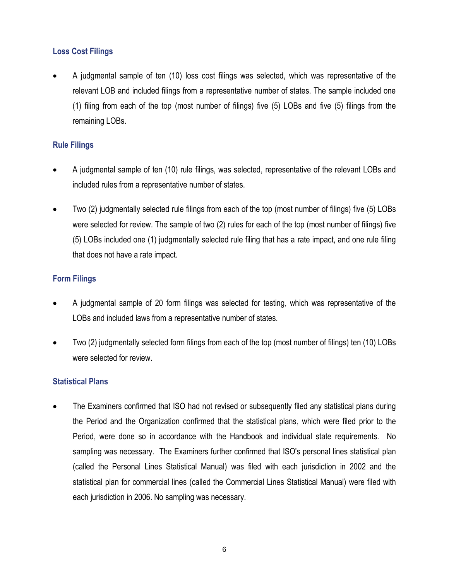# **Loss Cost Filings**

 A judgmental sample of ten (10) loss cost filings was selected, which was representative of the relevant LOB and included filings from a representative number of states. The sample included one (1) filing from each of the top (most number of filings) five (5) LOBs and five (5) filings from the remaining LOBs.

## **Rule Filings**

- A judgmental sample of ten (10) rule filings, was selected, representative of the relevant LOBs and included rules from a representative number of states.
- Two (2) judgmentally selected rule filings from each of the top (most number of filings) five (5) LOBs were selected for review. The sample of two (2) rules for each of the top (most number of filings) five (5) LOBs included one (1) judgmentally selected rule filing that has a rate impact, and one rule filing that does not have a rate impact.

## **Form Filings**

- A judgmental sample of 20 form filings was selected for testing, which was representative of the LOBs and included laws from a representative number of states.
- Two (2) judgmentally selected form filings from each of the top (most number of filings) ten (10) LOBs were selected for review.

#### **Statistical Plans**

• The Examiners confirmed that ISO had not revised or subsequently filed any statistical plans during the Period and the Organization confirmed that the statistical plans, which were filed prior to the Period, were done so in accordance with the Handbook and individual state requirements. No sampling was necessary. The Examiners further confirmed that ISO's personal lines statistical plan (called the Personal Lines Statistical Manual) was filed with each jurisdiction in 2002 and the statistical plan for commercial lines (called the Commercial Lines Statistical Manual) were filed with each jurisdiction in 2006. No sampling was necessary.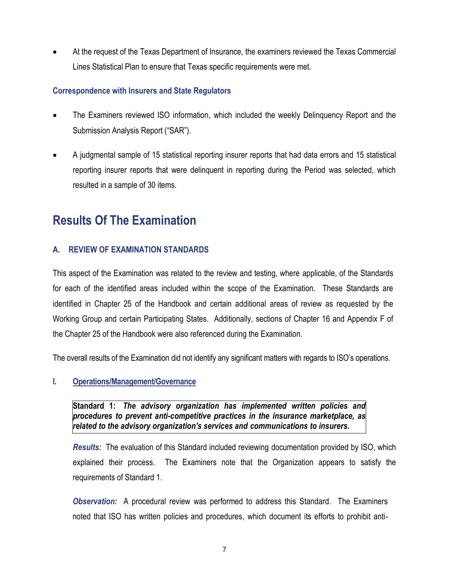At the request of the Texas Department of Insurance, the examiners reviewed the Texas Commercial Lines Statistical Plan to ensure that Texas specific requirements were met.

### **Correspondence with Insurers and State Regulators**

- The Examiners reviewed ISO information, which included the weekly Delinquency Report and the Submission Analysis Report ("SAR").
- A judgmental sample of 15 statistical reporting insurer reports that had data errors and 15 statistical reporting insurer reports that were delinquent in reporting during the Period was selected, which resulted in a sample of 30 items.

# **Results Of The Examination**

## **A. REVIEW OF EXAMINATION STANDARDS**

This aspect of the Examination was related to the review and testing, where applicable, of the Standards for each of the identified areas included within the scope of the Examination. These Standards are identified in Chapter 25 of the Handbook and certain additional areas of review as requested by the Working Group and certain Participating States. Additionally, sections of Chapter 16 and Appendix F of the Chapter 25 of the Handbook were also referenced during the Examination.

The overall results of the Examination did not identify any significant matters with regards to ISO's operations.

#### **I. Operations/Management/Governance**

**Standard 1:** *The advisory organization has implemented written policies and procedures to prevent anti-competitive practices in the insurance marketplace, as related to the advisory organization's services and communications to insurers.*

*Results:* The evaluation of this Standard included reviewing documentation provided by ISO, which explained their process. The Examiners note that the Organization appears to satisfy the requirements of Standard 1.

*Observation:* A procedural review was performed to address this Standard. The Examiners noted that ISO has written policies and procedures, which document its efforts to prohibit anti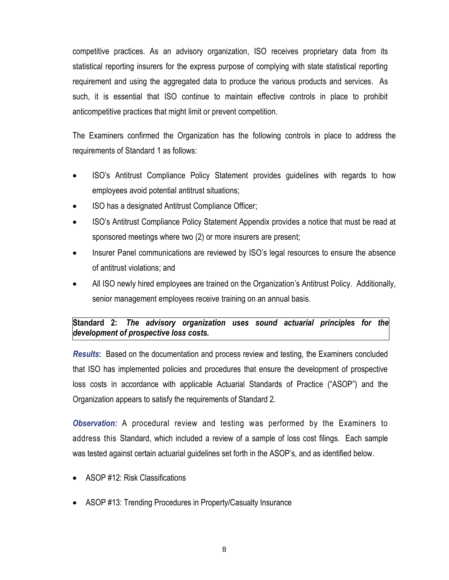competitive practices. As an advisory organization, ISO receives proprietary data from its statistical reporting insurers for the express purpose of complying with state statistical reporting requirement and using the aggregated data to produce the various products and services. As such, it is essential that ISO continue to maintain effective controls in place to prohibit anticompetitive practices that might limit or prevent competition.

The Examiners confirmed the Organization has the following controls in place to address the requirements of Standard 1 as follows:

- ISO's Antitrust Compliance Policy Statement provides guidelines with regards to how employees avoid potential antitrust situations;
- ISO has a designated Antitrust Compliance Officer;
- ISO's Antitrust Compliance Policy Statement Appendix provides a notice that must be read at sponsored meetings where two (2) or more insurers are present;
- Insurer Panel communications are reviewed by ISO's legal resources to ensure the absence of antitrust violations; and
- All ISO newly hired employees are trained on the Organization's Antitrust Policy. Additionally, senior management employees receive training on an annual basis.

## **Standard 2:** *The advisory organization uses sound actuarial principles for the development of prospective loss costs.*

*Results***:** Based on the documentation and process review and testing, the Examiners concluded that ISO has implemented policies and procedures that ensure the development of prospective loss costs in accordance with applicable Actuarial Standards of Practice ("ASOP") and the Organization appears to satisfy the requirements of Standard 2.

*Observation:* A procedural review and testing was performed by the Examiners to address this Standard, which included a review of a sample of loss cost filings. Each sample was tested against certain actuarial guidelines set forth in the ASOP's, and as identified below.

- ASOP #12: Risk Classifications
- ASOP #13: Trending Procedures in Property/Casualty Insurance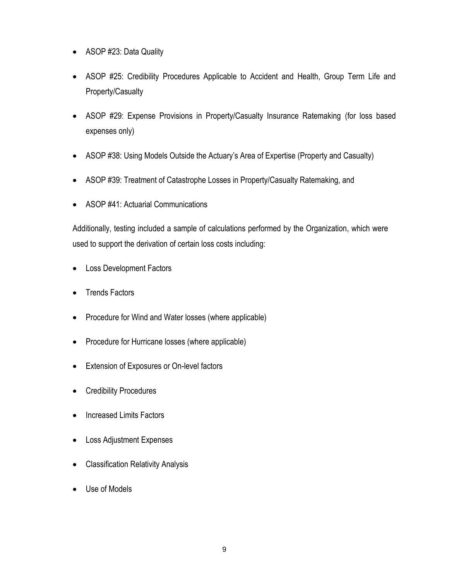- ASOP #23: Data Quality
- ASOP #25: Credibility Procedures Applicable to Accident and Health, Group Term Life and Property/Casualty
- ASOP #29: Expense Provisions in Property/Casualty Insurance Ratemaking (for loss based expenses only)
- ASOP #38: Using Models Outside the Actuary's Area of Expertise (Property and Casualty)
- ASOP #39: Treatment of Catastrophe Losses in Property/Casualty Ratemaking, and
- ASOP #41: Actuarial Communications

Additionally, testing included a sample of calculations performed by the Organization, which were used to support the derivation of certain loss costs including:

- Loss Development Factors
- Trends Factors
- Procedure for Wind and Water losses (where applicable)
- Procedure for Hurricane losses (where applicable)
- **•** Extension of Exposures or On-level factors
- Credibility Procedures
- Increased Limits Factors
- Loss Adjustment Expenses
- Classification Relativity Analysis
- Use of Models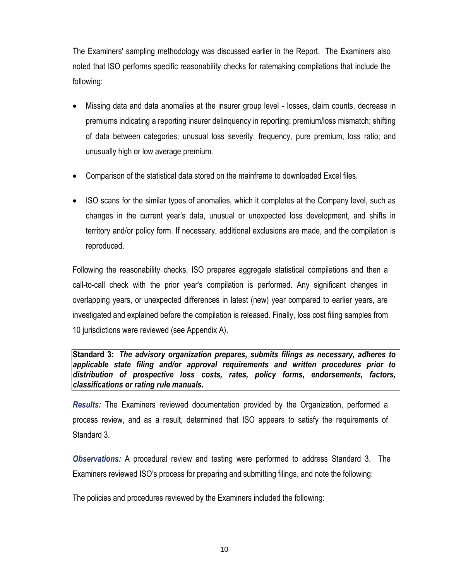The Examiners' sampling methodology was discussed earlier in the Report. The Examiners also noted that ISO performs specific reasonability checks for ratemaking compilations that include the following:

- Missing data and data anomalies at the insurer group level losses, claim counts, decrease in premiums indicating a reporting insurer delinquency in reporting; premium/loss mismatch; shifting of data between categories; unusual loss severity, frequency, pure premium, loss ratio; and unusually high or low average premium.
- Comparison of the statistical data stored on the mainframe to downloaded Excel files.
- ISO scans for the similar types of anomalies, which it completes at the Company level, such as changes in the current year's data, unusual or unexpected loss development, and shifts in territory and/or policy form. If necessary, additional exclusions are made, and the compilation is reproduced.

Following the reasonability checks, ISO prepares aggregate statistical compilations and then a call-to-call check with the prior year's compilation is performed. Any significant changes in overlapping years, or unexpected differences in latest (new) year compared to earlier years, are investigated and explained before the compilation is released. Finally, loss cost filing samples from 10 jurisdictions were reviewed (see Appendix A).

**Standard 3:** *The advisory organization prepares, submits filings as necessary, adheres to applicable state filing and/or approval requirements and written procedures prior to distribution of prospective loss costs, rates, policy forms, endorsements, factors, classifications or rating rule manuals.*

*Results:* The Examiners reviewed documentation provided by the Organization, performed a process review, and as a result, determined that ISO appears to satisfy the requirements of Standard 3.

*Observations:* A procedural review and testing were performed to address Standard 3. The Examiners reviewed ISO's process for preparing and submitting filings, and note the following:

The policies and procedures reviewed by the Examiners included the following: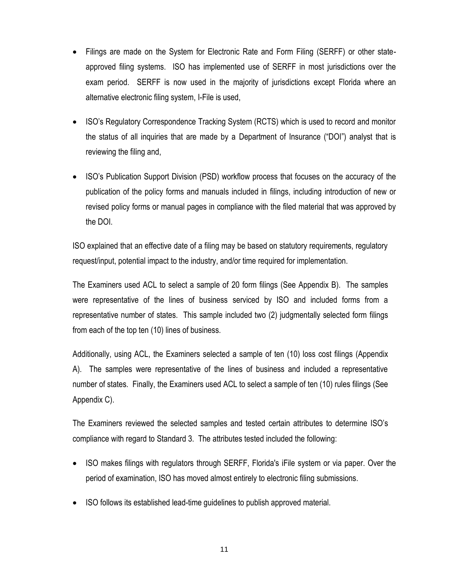- Filings are made on the System for Electronic Rate and Form Filing (SERFF) or other stateapproved filing systems. ISO has implemented use of SERFF in most jurisdictions over the exam period. SERFF is now used in the majority of jurisdictions except Florida where an alternative electronic filing system, I-File is used,
- ISO's Regulatory Correspondence Tracking System (RCTS) which is used to record and monitor the status of all inquiries that are made by a Department of Insurance ("DOI") analyst that is reviewing the filing and,
- ISO's Publication Support Division (PSD) workflow process that focuses on the accuracy of the publication of the policy forms and manuals included in filings, including introduction of new or revised policy forms or manual pages in compliance with the filed material that was approved by the DOI.

ISO explained that an effective date of a filing may be based on statutory requirements, regulatory request/input, potential impact to the industry, and/or time required for implementation.

The Examiners used ACL to select a sample of 20 form filings (See Appendix B). The samples were representative of the lines of business serviced by ISO and included forms from a representative number of states. This sample included two (2) judgmentally selected form filings from each of the top ten (10) lines of business.

Additionally, using ACL, the Examiners selected a sample of ten (10) loss cost filings (Appendix A). The samples were representative of the lines of business and included a representative number of states. Finally, the Examiners used ACL to select a sample of ten (10) rules filings (See Appendix C).

The Examiners reviewed the selected samples and tested certain attributes to determine ISO's compliance with regard to Standard 3. The attributes tested included the following:

- ISO makes filings with regulators through SERFF, Florida's iFile system or via paper. Over the period of examination, ISO has moved almost entirely to electronic filing submissions.
- ISO follows its established lead-time guidelines to publish approved material.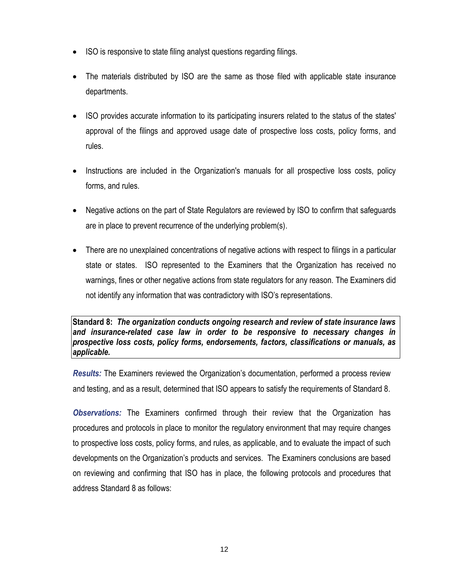- ISO is responsive to state filing analyst questions regarding filings.
- The materials distributed by ISO are the same as those filed with applicable state insurance departments.
- ISO provides accurate information to its participating insurers related to the status of the states' approval of the filings and approved usage date of prospective loss costs, policy forms, and rules.
- Instructions are included in the Organization's manuals for all prospective loss costs, policy forms, and rules.
- Negative actions on the part of State Regulators are reviewed by ISO to confirm that safeguards are in place to prevent recurrence of the underlying problem(s).
- There are no unexplained concentrations of negative actions with respect to filings in a particular state or states. ISO represented to the Examiners that the Organization has received no warnings, fines or other negative actions from state regulators for any reason. The Examiners did not identify any information that was contradictory with ISO's representations.

**Standard 8:** *The organization conducts ongoing research and review of state insurance laws and insurance-related case law in order to be responsive to necessary changes in prospective loss costs, policy forms, endorsements, factors, classifications or manuals, as applicable.*

*Results:* The Examiners reviewed the Organization's documentation, performed a process review and testing, and as a result, determined that ISO appears to satisfy the requirements of Standard 8.

*Observations:* The Examiners confirmed through their review that the Organization has procedures and protocols in place to monitor the regulatory environment that may require changes to prospective loss costs, policy forms, and rules, as applicable, and to evaluate the impact of such developments on the Organization's products and services. The Examiners conclusions are based on reviewing and confirming that ISO has in place, the following protocols and procedures that address Standard 8 as follows: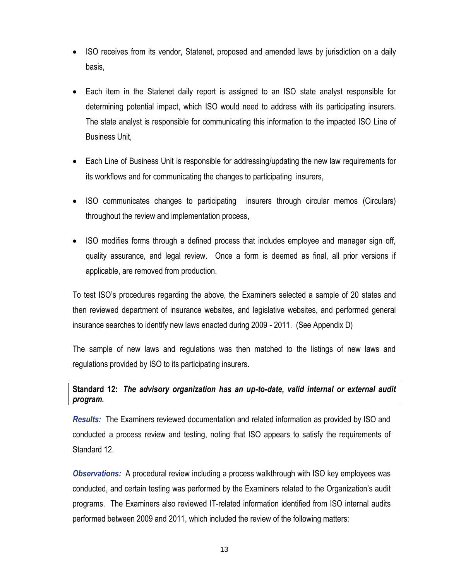- ISO receives from its vendor, Statenet, proposed and amended laws by jurisdiction on a daily basis,
- Each item in the Statenet daily report is assigned to an ISO state analyst responsible for determining potential impact, which ISO would need to address with its participating insurers. The state analyst is responsible for communicating this information to the impacted ISO Line of Business Unit,
- Each Line of Business Unit is responsible for addressing/updating the new law requirements for its workflows and for communicating the changes to participating insurers,
- ISO communicates changes to participating insurers through circular memos (Circulars) throughout the review and implementation process,
- ISO modifies forms through a defined process that includes employee and manager sign off, quality assurance, and legal review. Once a form is deemed as final, all prior versions if applicable, are removed from production.

To test ISO's procedures regarding the above, the Examiners selected a sample of 20 states and then reviewed department of insurance websites, and legislative websites, and performed general insurance searches to identify new laws enacted during 2009 - 2011. (See Appendix D)

The sample of new laws and regulations was then matched to the listings of new laws and regulations provided by ISO to its participating insurers.

**Standard 12:** *The advisory organization has an up-to-date, valid internal or external audit program.* 

*Results:* The Examiners reviewed documentation and related information as provided by ISO and conducted a process review and testing, noting that ISO appears to satisfy the requirements of Standard 12.

*Observations:* A procedural review including a process walkthrough with ISO key employees was conducted, and certain testing was performed by the Examiners related to the Organization's audit programs. The Examiners also reviewed IT-related information identified from ISO internal audits performed between 2009 and 2011, which included the review of the following matters: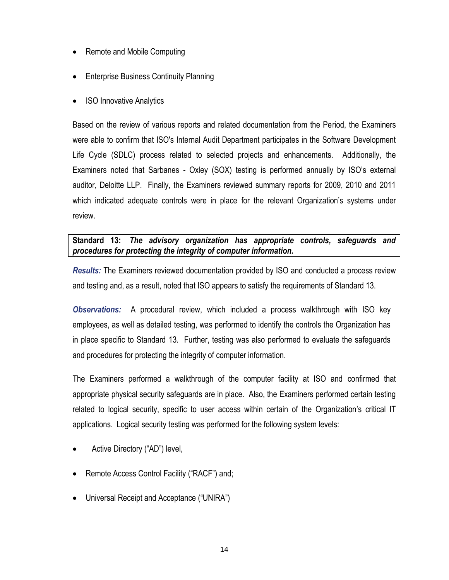- Remote and Mobile Computing
- Enterprise Business Continuity Planning
- ISO Innovative Analytics

Based on the review of various reports and related documentation from the Period, the Examiners were able to confirm that ISO's Internal Audit Department participates in the Software Development Life Cycle (SDLC) process related to selected projects and enhancements. Additionally, the Examiners noted that Sarbanes - Oxley (SOX) testing is performed annually by ISO's external auditor, Deloitte LLP. Finally, the Examiners reviewed summary reports for 2009, 2010 and 2011 which indicated adequate controls were in place for the relevant Organization's systems under review.

## **Standard 13:** *The advisory organization has appropriate controls, safeguards and procedures for protecting the integrity of computer information.*

*Results:* The Examiners reviewed documentation provided by ISO and conducted a process review and testing and, as a result, noted that ISO appears to satisfy the requirements of Standard 13.

*Observations:* A procedural review, which included a process walkthrough with ISO key employees, as well as detailed testing, was performed to identify the controls the Organization has in place specific to Standard 13. Further, testing was also performed to evaluate the safeguards and procedures for protecting the integrity of computer information.

The Examiners performed a walkthrough of the computer facility at ISO and confirmed that appropriate physical security safeguards are in place. Also, the Examiners performed certain testing related to logical security, specific to user access within certain of the Organization's critical IT applications. Logical security testing was performed for the following system levels:

- Active Directory ("AD") level,
- Remote Access Control Facility ("RACF") and;
- Universal Receipt and Acceptance ("UNIRA")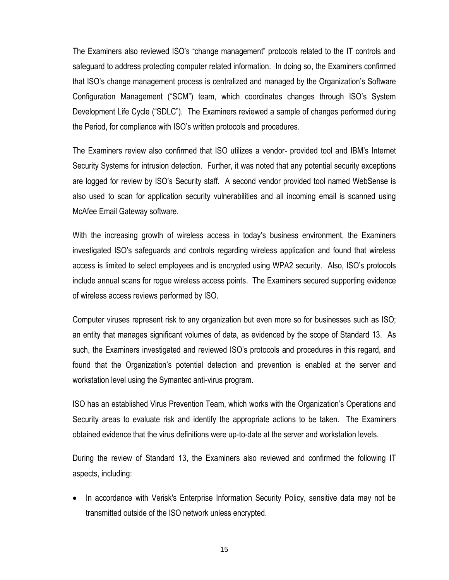The Examiners also reviewed ISO's "change management" protocols related to the IT controls and safeguard to address protecting computer related information. In doing so, the Examiners confirmed that ISO's change management process is centralized and managed by the Organization's Software Configuration Management ("SCM") team, which coordinates changes through ISO's System Development Life Cycle ("SDLC"). The Examiners reviewed a sample of changes performed during the Period, for compliance with ISO's written protocols and procedures.

The Examiners review also confirmed that ISO utilizes a vendor- provided tool and IBM's Internet Security Systems for intrusion detection. Further, it was noted that any potential security exceptions are logged for review by ISO's Security staff. A second vendor provided tool named WebSense is also used to scan for application security vulnerabilities and all incoming email is scanned using McAfee Email Gateway software.

With the increasing growth of wireless access in today's business environment, the Examiners investigated ISO's safeguards and controls regarding wireless application and found that wireless access is limited to select employees and is encrypted using WPA2 security. Also, ISO's protocols include annual scans for rogue wireless access points. The Examiners secured supporting evidence of wireless access reviews performed by ISO.

Computer viruses represent risk to any organization but even more so for businesses such as ISO; an entity that manages significant volumes of data, as evidenced by the scope of Standard 13. As such, the Examiners investigated and reviewed ISO's protocols and procedures in this regard, and found that the Organization's potential detection and prevention is enabled at the server and workstation level using the Symantec anti-virus program.

ISO has an established Virus Prevention Team, which works with the Organization's Operations and Security areas to evaluate risk and identify the appropriate actions to be taken. The Examiners obtained evidence that the virus definitions were up-to-date at the server and workstation levels.

During the review of Standard 13, the Examiners also reviewed and confirmed the following IT aspects, including:

• In accordance with Verisk's Enterprise Information Security Policy, sensitive data may not be transmitted outside of the ISO network unless encrypted.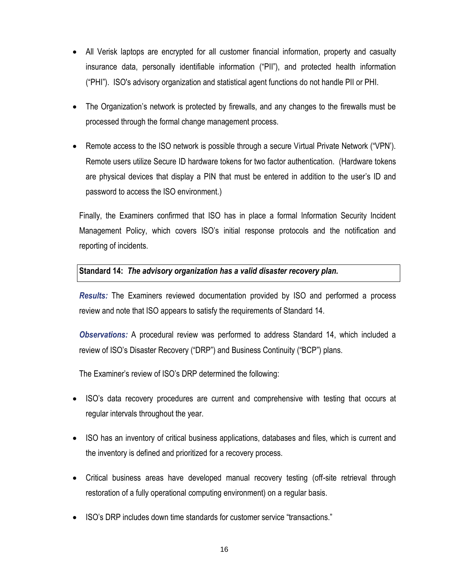- All Verisk laptops are encrypted for all customer financial information, property and casualty insurance data, personally identifiable information ("PII"), and protected health information ("PHI"). ISO's advisory organization and statistical agent functions do not handle PII or PHI.
- The Organization's network is protected by firewalls, and any changes to the firewalls must be processed through the formal change management process.
- Remote access to the ISO network is possible through a secure Virtual Private Network ("VPN'). Remote users utilize Secure ID hardware tokens for two factor authentication. (Hardware tokens are physical devices that display a PIN that must be entered in addition to the user's ID and password to access the ISO environment.)

Finally, the Examiners confirmed that ISO has in place a formal Information Security Incident Management Policy, which covers ISO's initial response protocols and the notification and reporting of incidents.

#### **Standard 14:** *The advisory organization has a valid disaster recovery plan.*

*Results:* The Examiners reviewed documentation provided by ISO and performed a process review and note that ISO appears to satisfy the requirements of Standard 14.

*Observations:* A procedural review was performed to address Standard 14, which included a review of ISO's Disaster Recovery ("DRP") and Business Continuity ("BCP") plans.

The Examiner's review of ISO's DRP determined the following:

- ISO's data recovery procedures are current and comprehensive with testing that occurs at regular intervals throughout the year.
- ISO has an inventory of critical business applications, databases and files, which is current and the inventory is defined and prioritized for a recovery process.
- Critical business areas have developed manual recovery testing (off-site retrieval through restoration of a fully operational computing environment) on a regular basis.
- ISO's DRP includes down time standards for customer service "transactions."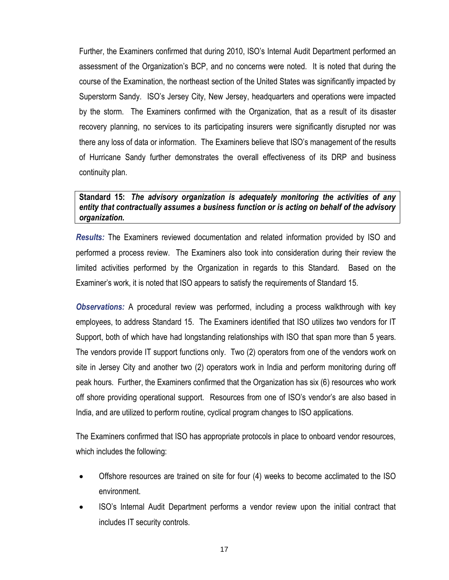Further, the Examiners confirmed that during 2010, ISO's Internal Audit Department performed an assessment of the Organization's BCP, and no concerns were noted. It is noted that during the course of the Examination, the northeast section of the United States was significantly impacted by Superstorm Sandy. ISO's Jersey City, New Jersey, headquarters and operations were impacted by the storm. The Examiners confirmed with the Organization, that as a result of its disaster recovery planning, no services to its participating insurers were significantly disrupted nor was there any loss of data or information. The Examiners believe that ISO's management of the results of Hurricane Sandy further demonstrates the overall effectiveness of its DRP and business continuity plan.

#### **Standard 15:** *The advisory organization is adequately monitoring the activities of any entity that contractually assumes a business function or is acting on behalf of the advisory organization.*

*Results:* The Examiners reviewed documentation and related information provided by ISO and performed a process review. The Examiners also took into consideration during their review the limited activities performed by the Organization in regards to this Standard. Based on the Examiner's work, it is noted that ISO appears to satisfy the requirements of Standard 15.

*Observations:* A procedural review was performed, including a process walkthrough with key employees, to address Standard 15. The Examiners identified that ISO utilizes two vendors for IT Support, both of which have had longstanding relationships with ISO that span more than 5 years. The vendors provide IT support functions only. Two (2) operators from one of the vendors work on site in Jersey City and another two (2) operators work in India and perform monitoring during off peak hours. Further, the Examiners confirmed that the Organization has six (6) resources who work off shore providing operational support. Resources from one of ISO's vendor's are also based in India, and are utilized to perform routine, cyclical program changes to ISO applications.

The Examiners confirmed that ISO has appropriate protocols in place to onboard vendor resources, which includes the following:

- Offshore resources are trained on site for four (4) weeks to become acclimated to the ISO environment.
- ISO's Internal Audit Department performs a vendor review upon the initial contract that includes IT security controls.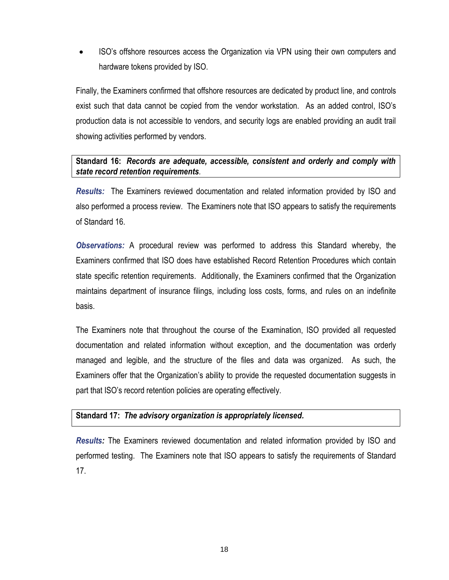ISO's offshore resources access the Organization via VPN using their own computers and hardware tokens provided by ISO.

Finally, the Examiners confirmed that offshore resources are dedicated by product line, and controls exist such that data cannot be copied from the vendor workstation. As an added control, ISO's production data is not accessible to vendors, and security logs are enabled providing an audit trail showing activities performed by vendors.

### **Standard 16:** *Records are adequate, accessible, consistent and orderly and comply with state record retention requirements.*

*Results:* The Examiners reviewed documentation and related information provided by ISO and also performed a process review. The Examiners note that ISO appears to satisfy the requirements of Standard 16.

*Observations:* A procedural review was performed to address this Standard whereby, the Examiners confirmed that ISO does have established Record Retention Procedures which contain state specific retention requirements. Additionally, the Examiners confirmed that the Organization maintains department of insurance filings, including loss costs, forms, and rules on an indefinite basis.

The Examiners note that throughout the course of the Examination, ISO provided all requested documentation and related information without exception, and the documentation was orderly managed and legible, and the structure of the files and data was organized. As such, the Examiners offer that the Organization's ability to provide the requested documentation suggests in part that ISO's record retention policies are operating effectively.

#### **Standard 17:** *The advisory organization is appropriately licensed.*

*Results:* The Examiners reviewed documentation and related information provided by ISO and performed testing. The Examiners note that ISO appears to satisfy the requirements of Standard 17.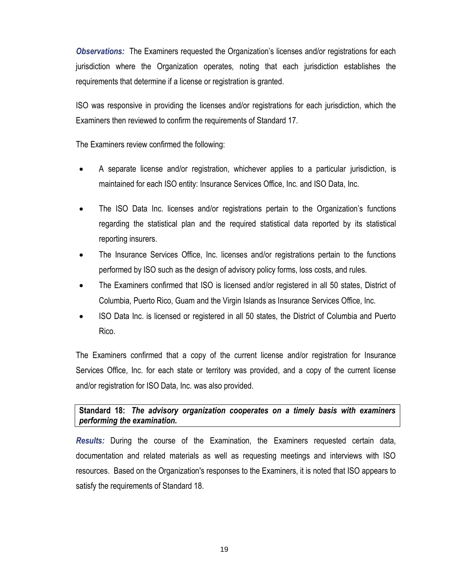*Observations:* The Examiners requested the Organization's licenses and/or registrations for each jurisdiction where the Organization operates, noting that each jurisdiction establishes the requirements that determine if a license or registration is granted.

ISO was responsive in providing the licenses and/or registrations for each jurisdiction, which the Examiners then reviewed to confirm the requirements of Standard 17.

The Examiners review confirmed the following:

- A separate license and/or registration, whichever applies to a particular jurisdiction, is maintained for each ISO entity: Insurance Services Office, Inc. and ISO Data, Inc.
- The ISO Data Inc. licenses and/or registrations pertain to the Organization's functions regarding the statistical plan and the required statistical data reported by its statistical reporting insurers.
- The Insurance Services Office, Inc. licenses and/or registrations pertain to the functions performed by ISO such as the design of advisory policy forms, loss costs, and rules.
- The Examiners confirmed that ISO is licensed and/or registered in all 50 states, District of Columbia, Puerto Rico, Guam and the Virgin Islands as Insurance Services Office, Inc.
- ISO Data Inc. is licensed or registered in all 50 states, the District of Columbia and Puerto Rico.

The Examiners confirmed that a copy of the current license and/or registration for Insurance Services Office, Inc. for each state or territory was provided, and a copy of the current license and/or registration for ISO Data, Inc. was also provided.

**Standard 18:** *The advisory organization cooperates on a timely basis with examiners performing the examination.*

*Results:* During the course of the Examination, the Examiners requested certain data, documentation and related materials as well as requesting meetings and interviews with ISO resources. Based on the Organization's responses to the Examiners, it is noted that ISO appears to satisfy the requirements of Standard 18.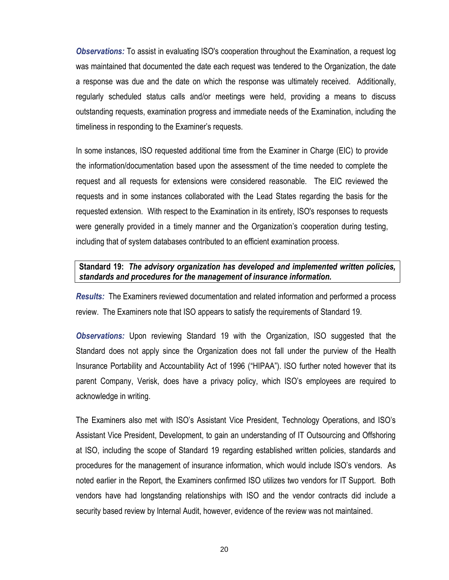*Observations:* To assist in evaluating ISO's cooperation throughout the Examination, a request log was maintained that documented the date each request was tendered to the Organization, the date a response was due and the date on which the response was ultimately received. Additionally, regularly scheduled status calls and/or meetings were held, providing a means to discuss outstanding requests, examination progress and immediate needs of the Examination, including the timeliness in responding to the Examiner's requests.

In some instances, ISO requested additional time from the Examiner in Charge (EIC) to provide the information/documentation based upon the assessment of the time needed to complete the request and all requests for extensions were considered reasonable. The EIC reviewed the requests and in some instances collaborated with the Lead States regarding the basis for the requested extension. With respect to the Examination in its entirety, ISO's responses to requests were generally provided in a timely manner and the Organization's cooperation during testing, including that of system databases contributed to an efficient examination process.

#### **Standard 19:** *The advisory organization has developed and implemented written policies, standards and procedures for the management of insurance information.*

*Results:* The Examiners reviewed documentation and related information and performed a process review. The Examiners note that ISO appears to satisfy the requirements of Standard 19.

*Observations:* Upon reviewing Standard 19 with the Organization, ISO suggested that the Standard does not apply since the Organization does not fall under the purview of the Health Insurance Portability and Accountability Act of 1996 ("HIPAA"). ISO further noted however that its parent Company, Verisk, does have a privacy policy, which ISO's employees are required to acknowledge in writing.

The Examiners also met with ISO's Assistant Vice President, Technology Operations, and ISO's Assistant Vice President, Development, to gain an understanding of IT Outsourcing and Offshoring at ISO, including the scope of Standard 19 regarding established written policies, standards and procedures for the management of insurance information, which would include ISO's vendors. As noted earlier in the Report, the Examiners confirmed ISO utilizes two vendors for IT Support. Both vendors have had longstanding relationships with ISO and the vendor contracts did include a security based review by Internal Audit, however, evidence of the review was not maintained.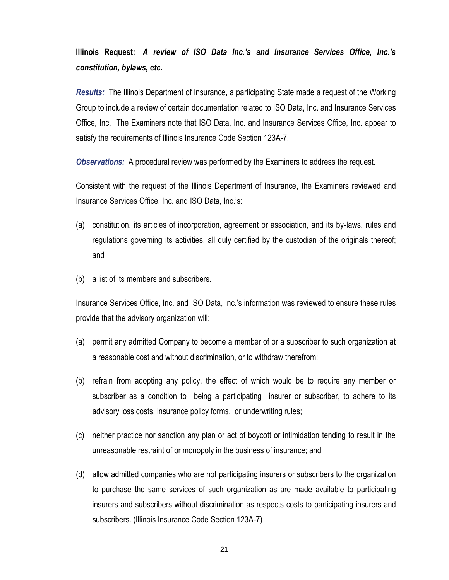**Illinois Request:** *A review of ISO Data Inc.'s and Insurance Services Office, Inc.'s constitution, bylaws, etc.*

*Results:* The Illinois Department of Insurance, a participating State made a request of the Working Group to include a review of certain documentation related to ISO Data, Inc. and Insurance Services Office, Inc. The Examiners note that ISO Data, Inc. and Insurance Services Office, Inc. appear to satisfy the requirements of Illinois Insurance Code Section 123A-7.

*Observations:* A procedural review was performed by the Examiners to address the request.

Consistent with the request of the Illinois Department of Insurance, the Examiners reviewed and Insurance Services Office, Inc. and ISO Data, Inc.'s:

- (a) constitution, its articles of incorporation, agreement or association, and its by-laws, rules and regulations governing its activities, all duly certified by the custodian of the originals thereof; and
- (b) a list of its members and subscribers.

Insurance Services Office, Inc. and ISO Data, Inc.'s information was reviewed to ensure these rules provide that the advisory organization will:

- (a) permit any admitted Company to become a member of or a subscriber to such organization at a reasonable cost and without discrimination, or to withdraw therefrom;
- (b) refrain from adopting any policy, the effect of which would be to require any member or subscriber as a condition to being a participating insurer or subscriber, to adhere to its advisory loss costs, insurance policy forms, or underwriting rules;
- (c) neither practice nor sanction any plan or act of boycott or intimidation tending to result in the unreasonable restraint of or monopoly in the business of insurance; and
- (d) allow admitted companies who are not participating insurers or subscribers to the organization to purchase the same services of such organization as are made available to participating insurers and subscribers without discrimination as respects costs to participating insurers and subscribers. (Illinois Insurance Code Section 123A-7)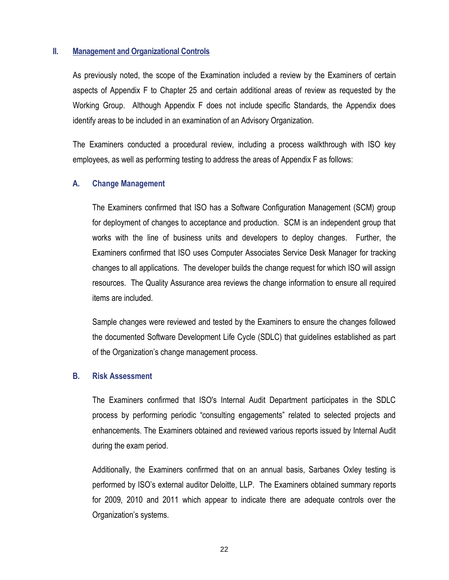#### **II. Management and Organizational Controls**

As previously noted, the scope of the Examination included a review by the Examiners of certain aspects of Appendix F to Chapter 25 and certain additional areas of review as requested by the Working Group. Although Appendix F does not include specific Standards, the Appendix does identify areas to be included in an examination of an Advisory Organization.

The Examiners conducted a procedural review, including a process walkthrough with ISO key employees, as well as performing testing to address the areas of Appendix F as follows:

#### **A. Change Management**

The Examiners confirmed that ISO has a Software Configuration Management (SCM) group for deployment of changes to acceptance and production. SCM is an independent group that works with the line of business units and developers to deploy changes. Further, the Examiners confirmed that ISO uses Computer Associates Service Desk Manager for tracking changes to all applications. The developer builds the change request for which ISO will assign resources. The Quality Assurance area reviews the change information to ensure all required items are included.

Sample changes were reviewed and tested by the Examiners to ensure the changes followed the documented Software Development Life Cycle (SDLC) that guidelines established as part of the Organization's change management process.

#### **B. Risk Assessment**

The Examiners confirmed that ISO's Internal Audit Department participates in the SDLC process by performing periodic "consulting engagements" related to selected projects and enhancements. The Examiners obtained and reviewed various reports issued by Internal Audit during the exam period.

Additionally, the Examiners confirmed that on an annual basis, Sarbanes Oxley testing is performed by ISO's external auditor Deloitte, LLP. The Examiners obtained summary reports for 2009, 2010 and 2011 which appear to indicate there are adequate controls over the Organization's systems.

22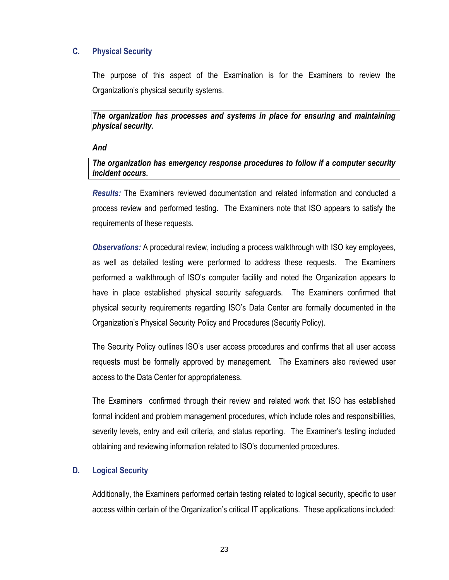## **C. Physical Security**

The purpose of this aspect of the Examination is for the Examiners to review the Organization's physical security systems.

*The organization has processes and systems in place for ensuring and maintaining physical security.*

#### *And*

#### *The organization has emergency response procedures to follow if a computer security incident occurs.*

*Results:* The Examiners reviewed documentation and related information and conducted a process review and performed testing. The Examiners note that ISO appears to satisfy the requirements of these requests.

*Observations:* A procedural review, including a process walkthrough with ISO key employees, as well as detailed testing were performed to address these requests. The Examiners performed a walkthrough of ISO's computer facility and noted the Organization appears to have in place established physical security safeguards. The Examiners confirmed that physical security requirements regarding ISO's Data Center are formally documented in the Organization's Physical Security Policy and Procedures (Security Policy).

The Security Policy outlines ISO's user access procedures and confirms that all user access requests must be formally approved by management. The Examiners also reviewed user access to the Data Center for appropriateness.

The Examiners confirmed through their review and related work that ISO has established formal incident and problem management procedures, which include roles and responsibilities, severity levels, entry and exit criteria, and status reporting. The Examiner's testing included obtaining and reviewing information related to ISO's documented procedures.

#### **D. Logical Security**

Additionally, the Examiners performed certain testing related to logical security, specific to user access within certain of the Organization's critical IT applications. These applications included: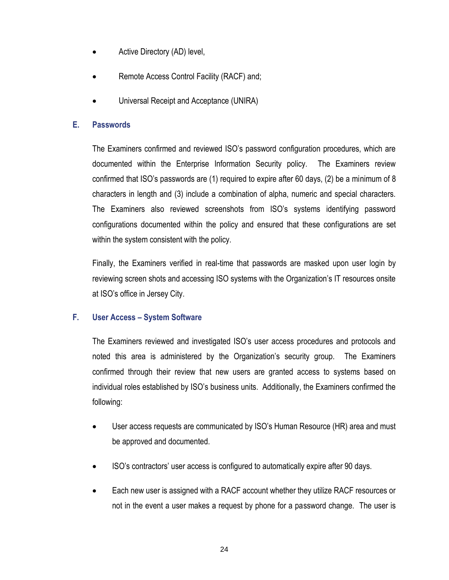- Active Directory (AD) level,
- Remote Access Control Facility (RACF) and;
- Universal Receipt and Acceptance (UNIRA)

#### **E. Passwords**

The Examiners confirmed and reviewed ISO's password configuration procedures, which are documented within the Enterprise Information Security policy. The Examiners review confirmed that ISO's passwords are (1) required to expire after 60 days, (2) be a minimum of 8 characters in length and (3) include a combination of alpha, numeric and special characters. The Examiners also reviewed screenshots from ISO's systems identifying password configurations documented within the policy and ensured that these configurations are set within the system consistent with the policy.

Finally, the Examiners verified in real-time that passwords are masked upon user login by reviewing screen shots and accessing ISO systems with the Organization's IT resources onsite at ISO's office in Jersey City.

#### **F. User Access – System Software**

The Examiners reviewed and investigated ISO's user access procedures and protocols and noted this area is administered by the Organization's security group. The Examiners confirmed through their review that new users are granted access to systems based on individual roles established by ISO's business units. Additionally, the Examiners confirmed the following:

- User access requests are communicated by ISO's Human Resource (HR) area and must be approved and documented.
- ISO's contractors' user access is configured to automatically expire after 90 days.
- Each new user is assigned with a RACF account whether they utilize RACF resources or not in the event a user makes a request by phone for a password change. The user is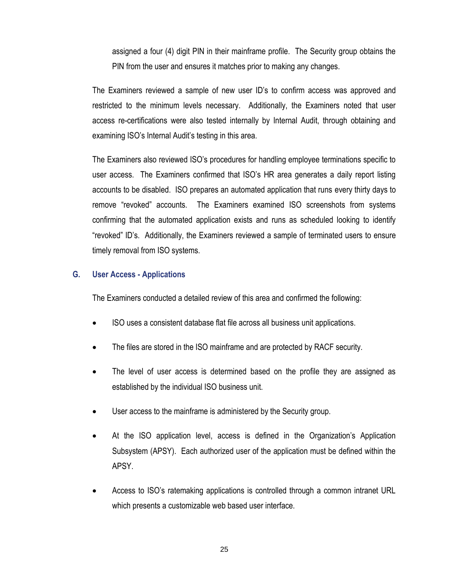assigned a four (4) digit PIN in their mainframe profile. The Security group obtains the PIN from the user and ensures it matches prior to making any changes.

The Examiners reviewed a sample of new user ID's to confirm access was approved and restricted to the minimum levels necessary. Additionally, the Examiners noted that user access re-certifications were also tested internally by Internal Audit, through obtaining and examining ISO's Internal Audit's testing in this area.

The Examiners also reviewed ISO's procedures for handling employee terminations specific to user access. The Examiners confirmed that ISO's HR area generates a daily report listing accounts to be disabled. ISO prepares an automated application that runs every thirty days to remove "revoked" accounts. The Examiners examined ISO screenshots from systems confirming that the automated application exists and runs as scheduled looking to identify "revoked" ID's. Additionally, the Examiners reviewed a sample of terminated users to ensure timely removal from ISO systems.

#### **G. User Access - Applications**

The Examiners conducted a detailed review of this area and confirmed the following:

- ISO uses a consistent database flat file across all business unit applications.
- The files are stored in the ISO mainframe and are protected by RACF security.
- The level of user access is determined based on the profile they are assigned as established by the individual ISO business unit.
- User access to the mainframe is administered by the Security group.
- At the ISO application level, access is defined in the Organization's Application Subsystem (APSY). Each authorized user of the application must be defined within the APSY.
- Access to ISO's ratemaking applications is controlled through a common intranet URL which presents a customizable web based user interface.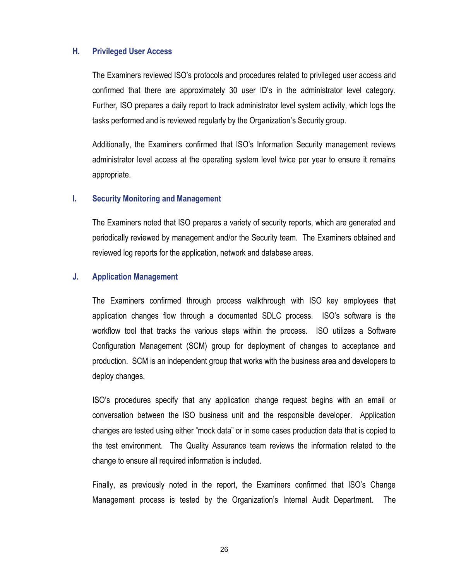#### **H. Privileged User Access**

The Examiners reviewed ISO's protocols and procedures related to privileged user access and confirmed that there are approximately 30 user ID's in the administrator level category. Further, ISO prepares a daily report to track administrator level system activity, which logs the tasks performed and is reviewed regularly by the Organization's Security group.

Additionally, the Examiners confirmed that ISO's Information Security management reviews administrator level access at the operating system level twice per year to ensure it remains appropriate.

#### **I. Security Monitoring and Management**

The Examiners noted that ISO prepares a variety of security reports, which are generated and periodically reviewed by management and/or the Security team. The Examiners obtained and reviewed log reports for the application, network and database areas.

#### **J. Application Management**

The Examiners confirmed through process walkthrough with ISO key employees that application changes flow through a documented SDLC process. ISO's software is the workflow tool that tracks the various steps within the process. ISO utilizes a Software Configuration Management (SCM) group for deployment of changes to acceptance and production. SCM is an independent group that works with the business area and developers to deploy changes.

ISO's procedures specify that any application change request begins with an email or conversation between the ISO business unit and the responsible developer. Application changes are tested using either "mock data" or in some cases production data that is copied to the test environment. The Quality Assurance team reviews the information related to the change to ensure all required information is included.

Finally, as previously noted in the report, the Examiners confirmed that ISO's Change Management process is tested by the Organization's Internal Audit Department. The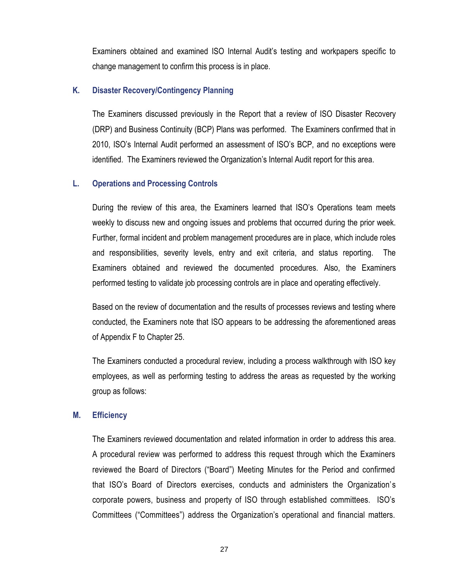Examiners obtained and examined ISO Internal Audit's testing and workpapers specific to change management to confirm this process is in place.

#### **K. Disaster Recovery/Contingency Planning**

The Examiners discussed previously in the Report that a review of ISO Disaster Recovery (DRP) and Business Continuity (BCP) Plans was performed. The Examiners confirmed that in 2010, ISO's Internal Audit performed an assessment of ISO's BCP, and no exceptions were identified. The Examiners reviewed the Organization's Internal Audit report for this area.

#### **L. Operations and Processing Controls**

During the review of this area, the Examiners learned that ISO's Operations team meets weekly to discuss new and ongoing issues and problems that occurred during the prior week. Further, formal incident and problem management procedures are in place, which include roles and responsibilities, severity levels, entry and exit criteria, and status reporting. The Examiners obtained and reviewed the documented procedures. Also, the Examiners performed testing to validate job processing controls are in place and operating effectively.

Based on the review of documentation and the results of processes reviews and testing where conducted, the Examiners note that ISO appears to be addressing the aforementioned areas of Appendix F to Chapter 25.

The Examiners conducted a procedural review, including a process walkthrough with ISO key employees, as well as performing testing to address the areas as requested by the working group as follows:

#### **M. Efficiency**

The Examiners reviewed documentation and related information in order to address this area. A procedural review was performed to address this request through which the Examiners reviewed the Board of Directors ("Board") Meeting Minutes for the Period and confirmed that ISO's Board of Directors exercises, conducts and administers the Organization's corporate powers, business and property of ISO through established committees. ISO's Committees ("Committees") address the Organization's operational and financial matters.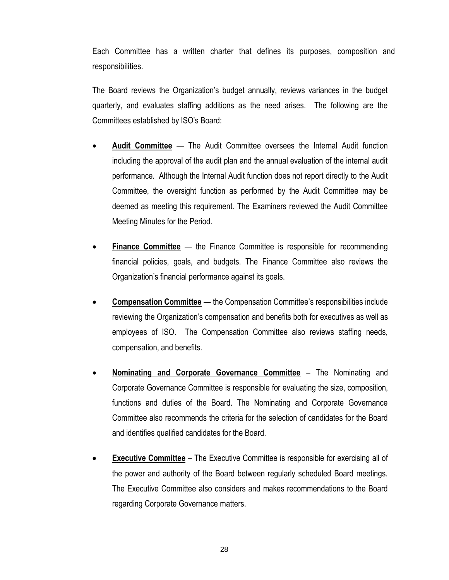Each Committee has a written charter that defines its purposes, composition and responsibilities.

The Board reviews the Organization's budget annually, reviews variances in the budget quarterly, and evaluates staffing additions as the need arises. The following are the Committees established by ISO's Board:

- **Audit Committee** The Audit Committee oversees the Internal Audit function including the approval of the audit plan and the annual evaluation of the internal audit performance. Although the Internal Audit function does not report directly to the Audit Committee, the oversight function as performed by the Audit Committee may be deemed as meeting this requirement. The Examiners reviewed the Audit Committee Meeting Minutes for the Period.
- **Finance Committee** the Finance Committee is responsible for recommending financial policies, goals, and budgets. The Finance Committee also reviews the Organization's financial performance against its goals.
- **Compensation Committee** the Compensation Committee's responsibilities include reviewing the Organization's compensation and benefits both for executives as well as employees of ISO. The Compensation Committee also reviews staffing needs, compensation, and benefits.
- **Nominating and Corporate Governance Committee** The Nominating and Corporate Governance Committee is responsible for evaluating the size, composition, functions and duties of the Board. The Nominating and Corporate Governance Committee also recommends the criteria for the selection of candidates for the Board and identifies qualified candidates for the Board.
- **Executive Committee** The Executive Committee is responsible for exercising all of the power and authority of the Board between regularly scheduled Board meetings. The Executive Committee also considers and makes recommendations to the Board regarding Corporate Governance matters.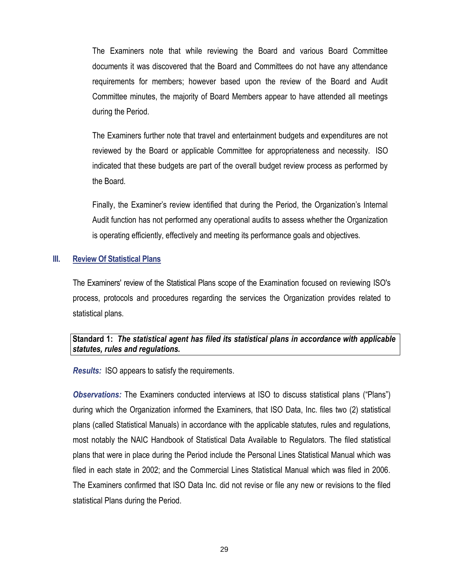The Examiners note that while reviewing the Board and various Board Committee documents it was discovered that the Board and Committees do not have any attendance requirements for members; however based upon the review of the Board and Audit Committee minutes, the majority of Board Members appear to have attended all meetings during the Period.

The Examiners further note that travel and entertainment budgets and expenditures are not reviewed by the Board or applicable Committee for appropriateness and necessity. ISO indicated that these budgets are part of the overall budget review process as performed by the Board.

Finally, the Examiner's review identified that during the Period, the Organization's Internal Audit function has not performed any operational audits to assess whether the Organization is operating efficiently, effectively and meeting its performance goals and objectives.

#### **III. Review Of Statistical Plans**

The Examiners' review of the Statistical Plans scope of the Examination focused on reviewing ISO's process, protocols and procedures regarding the services the Organization provides related to statistical plans.

#### **Standard 1:** *The statistical agent has filed its statistical plans in accordance with applicable statutes, rules and regulations.*

*Results:* ISO appears to satisfy the requirements.

*Observations:* The Examiners conducted interviews at ISO to discuss statistical plans ("Plans") during which the Organization informed the Examiners, that ISO Data, Inc. files two (2) statistical plans (called Statistical Manuals) in accordance with the applicable statutes, rules and regulations, most notably the NAIC Handbook of Statistical Data Available to Regulators. The filed statistical plans that were in place during the Period include the Personal Lines Statistical Manual which was filed in each state in 2002; and the Commercial Lines Statistical Manual which was filed in 2006. The Examiners confirmed that ISO Data Inc. did not revise or file any new or revisions to the filed statistical Plans during the Period.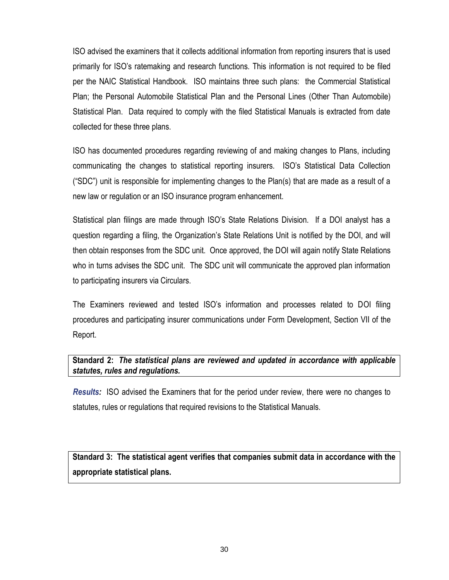ISO advised the examiners that it collects additional information from reporting insurers that is used primarily for ISO's ratemaking and research functions. This information is not required to be filed per the NAIC Statistical Handbook. ISO maintains three such plans: the Commercial Statistical Plan; the Personal Automobile Statistical Plan and the Personal Lines (Other Than Automobile) Statistical Plan. Data required to comply with the filed Statistical Manuals is extracted from date collected for these three plans.

ISO has documented procedures regarding reviewing of and making changes to Plans, including communicating the changes to statistical reporting insurers. ISO's Statistical Data Collection ("SDC") unit is responsible for implementing changes to the Plan(s) that are made as a result of a new law or regulation or an ISO insurance program enhancement.

Statistical plan filings are made through ISO's State Relations Division. If a DOI analyst has a question regarding a filing, the Organization's State Relations Unit is notified by the DOI, and will then obtain responses from the SDC unit. Once approved, the DOI will again notify State Relations who in turns advises the SDC unit. The SDC unit will communicate the approved plan information to participating insurers via Circulars.

The Examiners reviewed and tested ISO's information and processes related to DOI filing procedures and participating insurer communications under Form Development, Section VII of the Report.

## **Standard 2:** *The statistical plans are reviewed and updated in accordance with applicable statutes, rules and regulations.*

*Results:* ISO advised the Examiners that for the period under review, there were no changes to statutes, rules or regulations that required revisions to the Statistical Manuals.

**Standard 3: The statistical agent verifies that companies submit data in accordance with the appropriate statistical plans.**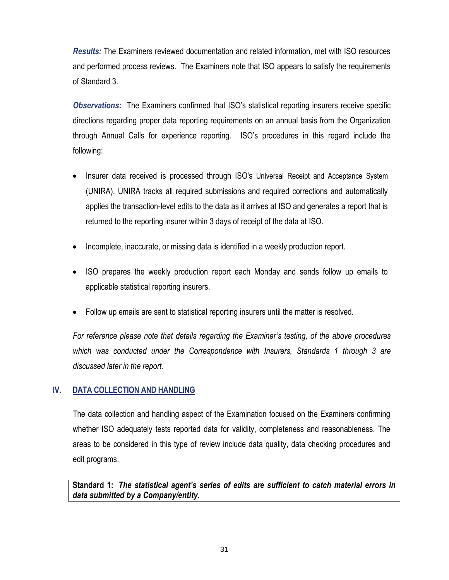*Results:* The Examiners reviewed documentation and related information, met with ISO resources and performed process reviews. The Examiners note that ISO appears to satisfy the requirements of Standard 3.

*Observations:* The Examiners confirmed that ISO's statistical reporting insurers receive specific directions regarding proper data reporting requirements on an annual basis from the Organization through Annual Calls for experience reporting. ISO's procedures in this regard include the following:

- Insurer data received is processed through ISO's Universal Receipt and Acceptance System (UNIRA). UNIRA tracks all required submissions and required corrections and automatically applies the transaction-level edits to the data as it arrives at ISO and generates a report that is returned to the reporting insurer within 3 days of receipt of the data at ISO.
- Incomplete, inaccurate, or missing data is identified in a weekly production report.
- ISO prepares the weekly production report each Monday and sends follow up emails to applicable statistical reporting insurers.
- Follow up emails are sent to statistical reporting insurers until the matter is resolved.

*For reference please note that details regarding the Examiner's testing, of the above procedures which was conducted under the Correspondence with Insurers, Standards 1 through 3 are discussed later in the report.* 

#### **IV. DATA COLLECTION AND HANDLING**

The data collection and handling aspect of the Examination focused on the Examiners confirming whether ISO adequately tests reported data for validity, completeness and reasonableness. The areas to be considered in this type of review include data quality, data checking procedures and edit programs.

**Standard 1:** *The statistical agent's series of edits are sufficient to catch material errors in data submitted by a Company/entity.*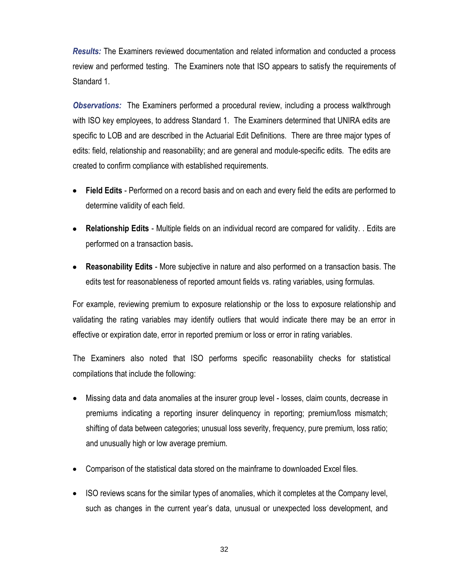*Results:* The Examiners reviewed documentation and related information and conducted a process review and performed testing. The Examiners note that ISO appears to satisfy the requirements of Standard 1.

*Observations:* The Examiners performed a procedural review, including a process walkthrough with ISO key employees, to address Standard 1. The Examiners determined that UNIRA edits are specific to LOB and are described in the Actuarial Edit Definitions. There are three major types of edits: field, relationship and reasonability; and are general and module-specific edits. The edits are created to confirm compliance with established requirements.

- **Field Edits** Performed on a record basis and on each and every field the edits are performed to determine validity of each field.
- **Relationship Edits** Multiple fields on an individual record are compared for validity. . Edits are performed on a transaction basis**.**
- **Reasonability Edits** More subjective in nature and also performed on a transaction basis. The edits test for reasonableness of reported amount fields vs. rating variables, using formulas.

For example, reviewing premium to exposure relationship or the loss to exposure relationship and validating the rating variables may identify outliers that would indicate there may be an error in effective or expiration date, error in reported premium or loss or error in rating variables.

The Examiners also noted that ISO performs specific reasonability checks for statistical compilations that include the following:

- Missing data and data anomalies at the insurer group level losses, claim counts, decrease in premiums indicating a reporting insurer delinquency in reporting; premium/loss mismatch; shifting of data between categories; unusual loss severity, frequency, pure premium, loss ratio; and unusually high or low average premium.
- Comparison of the statistical data stored on the mainframe to downloaded Excel files.
- ISO reviews scans for the similar types of anomalies, which it completes at the Company level, such as changes in the current year's data, unusual or unexpected loss development, and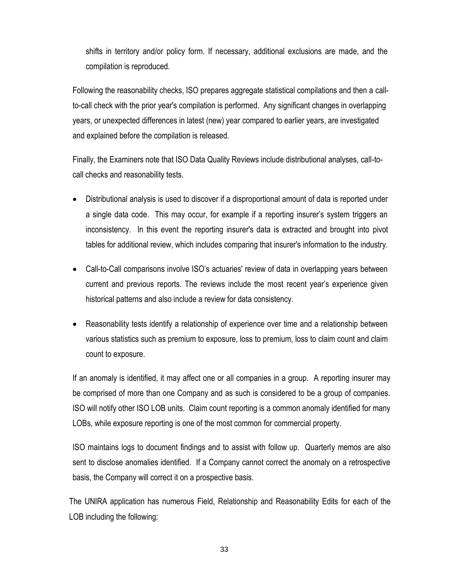shifts in territory and/or policy form. If necessary, additional exclusions are made, and the compilation is reproduced.

Following the reasonability checks, ISO prepares aggregate statistical compilations and then a callto-call check with the prior year's compilation is performed. Any significant changes in overlapping years, or unexpected differences in latest (new) year compared to earlier years, are investigated and explained before the compilation is released.

Finally, the Examiners note that ISO Data Quality Reviews include distributional analyses, call-tocall checks and reasonability tests.

- Distributional analysis is used to discover if a disproportional amount of data is reported under a single data code. This may occur, for example if a reporting insurer's system triggers an inconsistency. In this event the reporting insurer's data is extracted and brought into pivot tables for additional review, which includes comparing that insurer's information to the industry.
- Call-to-Call comparisons involve ISO's actuaries' review of data in overlapping years between current and previous reports. The reviews include the most recent year's experience given historical patterns and also include a review for data consistency.
- Reasonability tests identify a relationship of experience over time and a relationship between various statistics such as premium to exposure, loss to premium, loss to claim count and claim count to exposure.

If an anomaly is identified, it may affect one or all companies in a group. A reporting insurer may be comprised of more than one Company and as such is considered to be a group of companies. ISO will notify other ISO LOB units. Claim count reporting is a common anomaly identified for many LOBs, while exposure reporting is one of the most common for commercial property.

ISO maintains logs to document findings and to assist with follow up. Quarterly memos are also sent to disclose anomalies identified. If a Company cannot correct the anomaly on a retrospective basis, the Company will correct it on a prospective basis.

The UNIRA application has numerous Field, Relationship and Reasonability Edits for each of the LOB including the following: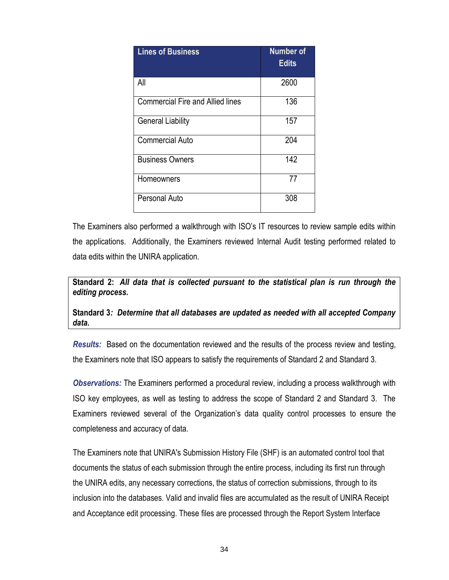| <b>Lines of Business</b>                | <b>Number of</b><br><b>Edits</b> |
|-----------------------------------------|----------------------------------|
| All                                     | 2600                             |
| <b>Commercial Fire and Allied lines</b> | 136                              |
| <b>General Liability</b>                | 157                              |
| <b>Commercial Auto</b>                  | 204                              |
| <b>Business Owners</b>                  | 142                              |
| Homeowners                              | 77                               |
| <b>Personal Auto</b>                    | 308                              |

The Examiners also performed a walkthrough with ISO's IT resources to review sample edits within the applications. Additionally, the Examiners reviewed Internal Audit testing performed related to data edits within the UNIRA application.

**Standard 2:** *All data that is collected pursuant to the statistical plan is run through the editing process.* 

**Standard 3***: Determine that all databases are updated as needed with all accepted Company data.*

*Results:* Based on the documentation reviewed and the results of the process review and testing, the Examiners note that ISO appears to satisfy the requirements of Standard 2 and Standard 3.

*Observations:* The Examiners performed a procedural review, including a process walkthrough with ISO key employees, as well as testing to address the scope of Standard 2 and Standard 3. The Examiners reviewed several of the Organization's data quality control processes to ensure the completeness and accuracy of data.

The Examiners note that UNIRA's Submission History File (SHF) is an automated control tool that documents the status of each submission through the entire process, including its first run through the UNIRA edits, any necessary corrections, the status of correction submissions, through to its inclusion into the databases. Valid and invalid files are accumulated as the result of UNIRA Receipt and Acceptance edit processing. These files are processed through the Report System Interface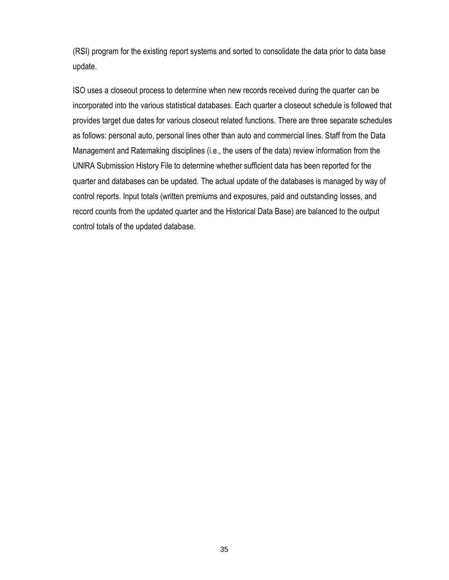(RSI) program for the existing report systems and sorted to consolidate the data prior to data base update.

ISO uses a closeout process to determine when new records received during the quarter can be incorporated into the various statistical databases. Each quarter a closeout schedule is followed that provides target due dates for various closeout related functions. There are three separate schedules as follows: personal auto, personal lines other than auto and commercial lines. Staff from the Data Management and Ratemaking disciplines (i.e., the users of the data) review information from the UNlRA Submission History File to determine whether sufficient data has been reported for the quarter and databases can be updated. The actual update of the databases is managed by way of control reports. Input totals (written premiums and exposures, paid and outstanding losses, and record counts from the updated quarter and the Historical Data Base) are balanced to the output control totals of the updated database.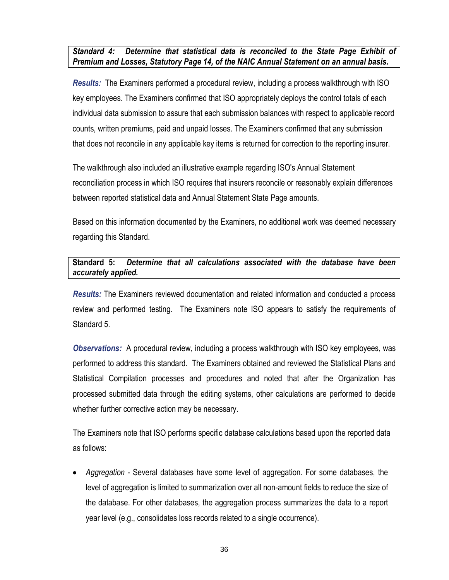*Standard 4: Determine that statistical data is reconciled to the State Page Exhibit of Premium and Losses, Statutory Page 14, of the NAIC Annual Statement on an annual basis.*

*Results:* The Examiners performed a procedural review, including a process walkthrough with ISO key employees. The Examiners confirmed that ISO appropriately deploys the control totals of each individual data submission to assure that each submission balances with respect to applicable record counts, written premiums, paid and unpaid losses. The Examiners confirmed that any submission that does not reconcile in any applicable key items is returned for correction to the reporting insurer.

The walkthrough also included an illustrative example regarding ISO's Annual Statement reconciliation process in which ISO requires that insurers reconcile or reasonably explain differences between reported statistical data and Annual Statement State Page amounts.

Based on this information documented by the Examiners, no additional work was deemed necessary regarding this Standard.

**Standard 5:** *Determine that all calculations associated with the database have been accurately applied.*

*Results:* The Examiners reviewed documentation and related information and conducted a process review and performed testing. The Examiners note ISO appears to satisfy the requirements of Standard 5.

*Observations:* A procedural review, including a process walkthrough with ISO key employees, was performed to address this standard. The Examiners obtained and reviewed the Statistical Plans and Statistical Compilation processes and procedures and noted that after the Organization has processed submitted data through the editing systems, other calculations are performed to decide whether further corrective action may be necessary.

The Examiners note that ISO performs specific database calculations based upon the reported data as follows:

 *Aggregation* - Several databases have some level of aggregation. For some databases, the level of aggregation is limited to summarization over all non-amount fields to reduce the size of the database. For other databases, the aggregation process summarizes the data to a report year level (e.g., consolidates loss records related to a single occurrence).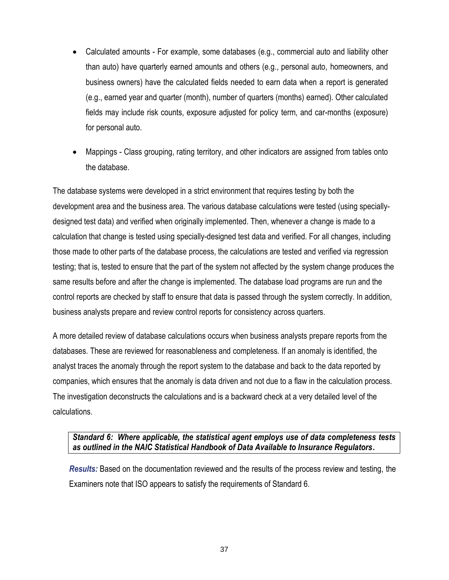- Calculated amounts For example, some databases (e.g., commercial auto and liability other than auto) have quarterly earned amounts and others (e.g., personal auto, homeowners, and business owners) have the calculated fields needed to earn data when a report is generated (e.g., earned year and quarter (month), number of quarters (months) earned). Other calculated fields may include risk counts, exposure adjusted for policy term, and car-months (exposure) for personal auto.
- Mappings Class grouping, rating territory, and other indicators are assigned from tables onto the database.

The database systems were developed in a strict environment that requires testing by both the development area and the business area. The various database calculations were tested (using speciallydesigned test data) and verified when originally implemented. Then, whenever a change is made to a calculation that change is tested using specially-designed test data and verified. For all changes, including those made to other parts of the database process, the calculations are tested and verified via regression testing; that is, tested to ensure that the part of the system not affected by the system change produces the same results before and after the change is implemented. The database load programs are run and the control reports are checked by staff to ensure that data is passed through the system correctly. In addition, business analysts prepare and review control reports for consistency across quarters.

A more detailed review of database calculations occurs when business analysts prepare reports from the databases. These are reviewed for reasonableness and completeness. If an anomaly is identified, the analyst traces the anomaly through the report system to the database and back to the data reported by companies, which ensures that the anomaly is data driven and not due to a flaw in the calculation process. The investigation deconstructs the calculations and is a backward check at a very detailed level of the calculations.

#### *Standard 6: Where applicable, the statistical agent employs use of data completeness tests as outlined in the NAIC Statistical Handbook of Data Available to Insurance Regulators***.**

*Results:* Based on the documentation reviewed and the results of the process review and testing, the Examiners note that ISO appears to satisfy the requirements of Standard 6.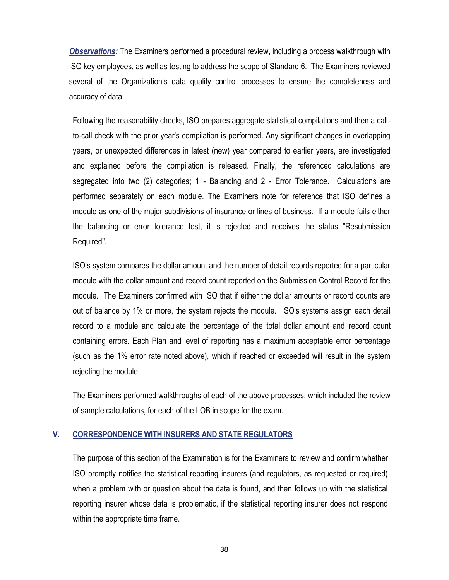*Observations:* The Examiners performed a procedural review, including a process walkthrough with ISO key employees, as well as testing to address the scope of Standard 6. The Examiners reviewed several of the Organization's data quality control processes to ensure the completeness and accuracy of data.

Following the reasonability checks, ISO prepares aggregate statistical compilations and then a callto-call check with the prior year's compilation is performed. Any significant changes in overlapping years, or unexpected differences in latest (new) year compared to earlier years, are investigated and explained before the compilation is released. Finally, the referenced calculations are segregated into two (2) categories; 1 - Balancing and 2 - Error Tolerance. Calculations are performed separately on each module. The Examiners note for reference that ISO defines a module as one of the major subdivisions of insurance or lines of business. If a module fails either the balancing or error tolerance test, it is rejected and receives the status "Resubmission Required".

ISO's system compares the dollar amount and the number of detail records reported for a particular module with the dollar amount and record count reported on the Submission Control Record for the module. The Examiners confirmed with ISO that if either the dollar amounts or record counts are out of balance by 1% or more, the system rejects the module. ISO's systems assign each detail record to a module and calculate the percentage of the total dollar amount and record count containing errors. Each Plan and level of reporting has a maximum acceptable error percentage (such as the 1% error rate noted above), which if reached or exceeded will result in the system rejecting the module.

The Examiners performed walkthroughs of each of the above processes, which included the review of sample calculations, for each of the LOB in scope for the exam.

#### **V. CORRESPONDENCE WITH INSURERS AND STATE REGULATORS**

The purpose of this section of the Examination is for the Examiners to review and confirm whether ISO promptly notifies the statistical reporting insurers (and regulators, as requested or required) when a problem with or question about the data is found, and then follows up with the statistical reporting insurer whose data is problematic, if the statistical reporting insurer does not respond within the appropriate time frame.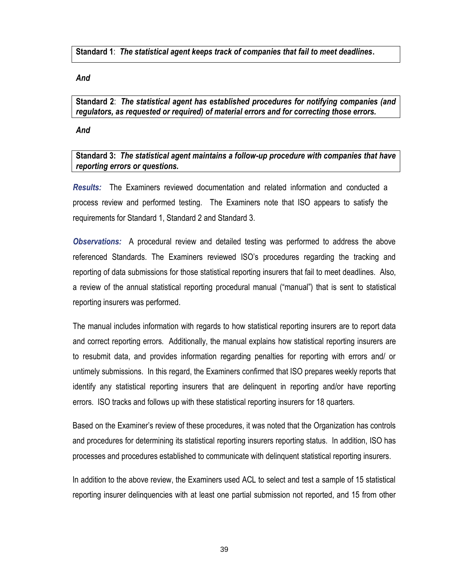**Standard 1**: *The statistical agent keeps track of companies that fail to meet deadlines***.**

*And*

**Standard 2**: *The statistical agent has established procedures for notifying companies (and regulators, as requested or required) of material errors and for correcting those errors.*

*And*

**Standard 3:** *The statistical agent maintains a follow-up procedure with companies that have reporting errors or questions.*

*Results:* The Examiners reviewed documentation and related information and conducted a process review and performed testing. The Examiners note that ISO appears to satisfy the requirements for Standard 1, Standard 2 and Standard 3.

*Observations:* A procedural review and detailed testing was performed to address the above referenced Standards. The Examiners reviewed ISO's procedures regarding the tracking and reporting of data submissions for those statistical reporting insurers that fail to meet deadlines. Also, a review of the annual statistical reporting procedural manual ("manual") that is sent to statistical reporting insurers was performed.

The manual includes information with regards to how statistical reporting insurers are to report data and correct reporting errors. Additionally, the manual explains how statistical reporting insurers are to resubmit data, and provides information regarding penalties for reporting with errors and/ or untimely submissions. In this regard, the Examiners confirmed that ISO prepares weekly reports that identify any statistical reporting insurers that are delinquent in reporting and/or have reporting errors. ISO tracks and follows up with these statistical reporting insurers for 18 quarters.

Based on the Examiner's review of these procedures, it was noted that the Organization has controls and procedures for determining its statistical reporting insurers reporting status. In addition, ISO has processes and procedures established to communicate with delinquent statistical reporting insurers.

In addition to the above review, the Examiners used ACL to select and test a sample of 15 statistical reporting insurer delinquencies with at least one partial submission not reported, and 15 from other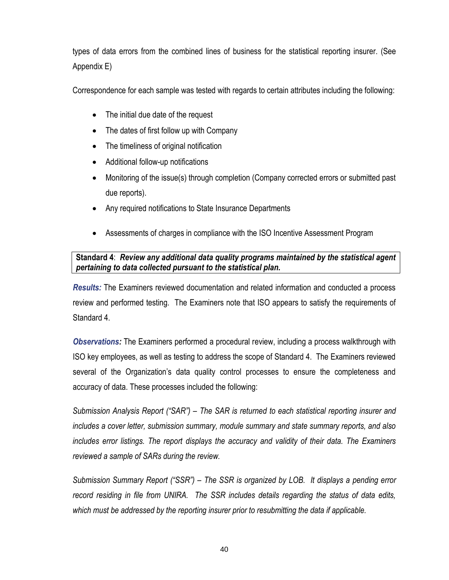types of data errors from the combined lines of business for the statistical reporting insurer. (See Appendix E)

Correspondence for each sample was tested with regards to certain attributes including the following:

- The initial due date of the request
- The dates of first follow up with Company
- The timeliness of original notification
- Additional follow-up notifications
- Monitoring of the issue(s) through completion (Company corrected errors or submitted past due reports).
- Any required notifications to State Insurance Departments
- Assessments of charges in compliance with the ISO Incentive Assessment Program

### **Standard 4**: *Review any additional data quality programs maintained by the statistical agent pertaining to data collected pursuant to the statistical plan.*

*Results:* The Examiners reviewed documentation and related information and conducted a process review and performed testing. The Examiners note that ISO appears to satisfy the requirements of Standard 4.

*Observations:* The Examiners performed a procedural review, including a process walkthrough with ISO key employees, as well as testing to address the scope of Standard 4. The Examiners reviewed several of the Organization's data quality control processes to ensure the completeness and accuracy of data. These processes included the following:

*Submission Analysis Report ("SAR") – The SAR is returned to each statistical reporting insurer and includes a cover letter, submission summary, module summary and state summary reports, and also includes error listings. The report displays the accuracy and validity of their data. The Examiners reviewed a sample of SARs during the review.* 

*Submission Summary Report ("SSR") – The SSR is organized by LOB. It displays a pending error record residing in file from UNIRA. The SSR includes details regarding the status of data edits, which must be addressed by the reporting insurer prior to resubmitting the data if applicable.*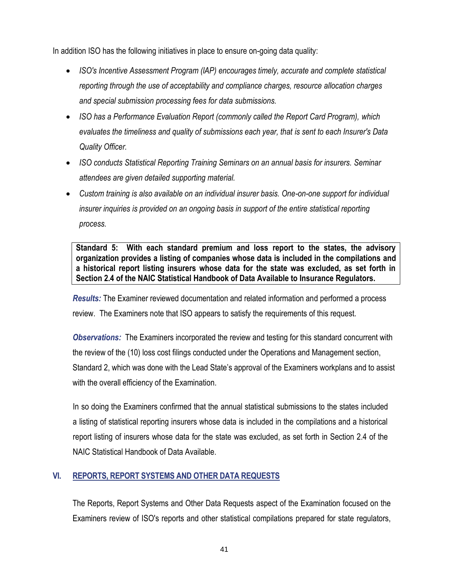In addition ISO has the following initiatives in place to ensure on-going data quality:

- ISO's Incentive Assessment Program (IAP) encourages timely, accurate and complete statistical *reporting through the use of acceptability and compliance charges, resource allocation charges and special submission processing fees for data submissions.*
- *ISO has a Performance Evaluation Report (commonly called the Report Card Program), which evaluates the timeliness and quality of submissions each year, that is sent to each Insurer's Data Quality Officer.*
- *ISO conducts Statistical Reporting Training Seminars on an annual basis for insurers. Seminar attendees are given detailed supporting material.*
- Custom training is also available on an *individual insurer basis.* One-on-one support for *individual insurer inquiries is provided on an ongoing basis in support of the entire statistical reporting process.*

**Standard 5: With each standard premium and loss report to the states, the advisory organization provides a listing of companies whose data is included in the compilations and a historical report listing insurers whose data for the state was excluded, as set forth in Section 2.4 of the NAIC Statistical Handbook of Data Available to Insurance Regulators.**

*Results:* The Examiner reviewed documentation and related information and performed a process review. The Examiners note that ISO appears to satisfy the requirements of this request.

*Observations:* The Examiners incorporated the review and testing for this standard concurrent with the review of the (10) loss cost filings conducted under the Operations and Management section, Standard 2, which was done with the Lead State's approval of the Examiners workplans and to assist with the overall efficiency of the Examination.

In so doing the Examiners confirmed that the annual statistical submissions to the states included a listing of statistical reporting insurers whose data is included in the compilations and a historical report listing of insurers whose data for the state was excluded, as set forth in Section 2.4 of the NAIC Statistical Handbook of Data Available.

## **VI. REPORTS, REPORT SYSTEMS AND OTHER DATA REQUESTS**

The Reports, Report Systems and Other Data Requests aspect of the Examination focused on the Examiners review of ISO's reports and other statistical compilations prepared for state regulators,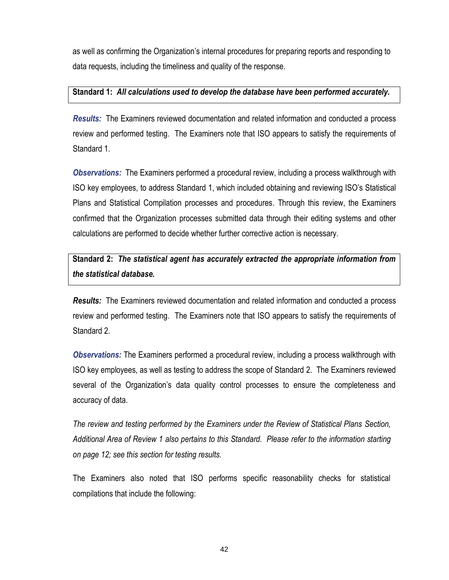as well as confirming the Organization's internal procedures for preparing reports and responding to data requests, including the timeliness and quality of the response.

#### **Standard 1:** *All calculations used to develop the database have been performed accurately.*

*Results:* The Examiners reviewed documentation and related information and conducted a process review and performed testing. The Examiners note that ISO appears to satisfy the requirements of Standard 1.

*Observations:* The Examiners performed a procedural review, including a process walkthrough with ISO key employees, to address Standard 1, which included obtaining and reviewing ISO's Statistical Plans and Statistical Compilation processes and procedures. Through this review, the Examiners confirmed that the Organization processes submitted data through their editing systems and other calculations are performed to decide whether further corrective action is necessary.

# **Standard 2:** *The statistical agent has accurately extracted the appropriate information from the statistical database.*

*Results:* The Examiners reviewed documentation and related information and conducted a process review and performed testing. The Examiners note that ISO appears to satisfy the requirements of Standard 2.

*Observations:* The Examiners performed a procedural review, including a process walkthrough with ISO key employees, as well as testing to address the scope of Standard 2. The Examiners reviewed several of the Organization's data quality control processes to ensure the completeness and accuracy of data.

*The review and testing performed by the Examiners under the Review of Statistical Plans Section, Additional Area of Review 1 also pertains to this Standard. Please refer to the information starting on page 12; see this section for testing results.*

The Examiners also noted that ISO performs specific reasonability checks for statistical compilations that include the following: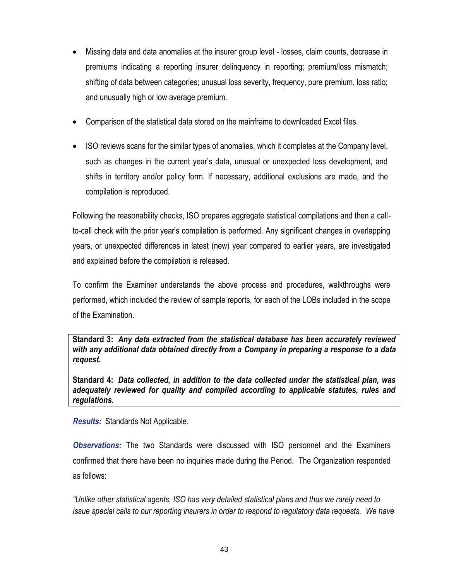- Missing data and data anomalies at the insurer group level losses, claim counts, decrease in premiums indicating a reporting insurer delinquency in reporting; premium/loss mismatch; shifting of data between categories; unusual loss severity, frequency, pure premium, loss ratio; and unusually high or low average premium.
- Comparison of the statistical data stored on the mainframe to downloaded Excel files.
- ISO reviews scans for the similar types of anomalies, which it completes at the Company level, such as changes in the current year's data, unusual or unexpected loss development, and shifts in territory and/or policy form. If necessary, additional exclusions are made, and the compilation is reproduced.

Following the reasonability checks, ISO prepares aggregate statistical compilations and then a callto-call check with the prior year's compilation is performed. Any significant changes in overlapping years, or unexpected differences in latest (new) year compared to earlier years, are investigated and explained before the compilation is released.

To confirm the Examiner understands the above process and procedures, walkthroughs were performed, which included the review of sample reports, for each of the LOBs included in the scope of the Examination.

**Standard 3:** *Any data extracted from the statistical database has been accurately reviewed with any additional data obtained directly from a Company in preparing a response to a data request.*

**Standard 4:** *Data collected, in addition to the data collected under the statistical plan, was adequately reviewed for quality and compiled according to applicable statutes, rules and regulations.* 

*Results:* Standards Not Applicable.

*Observations:* The two Standards were discussed with ISO personnel and the Examiners confirmed that there have been no inquiries made during the Period. The Organization responded as follows:

*"Unlike other statistical agents, ISO has very detailed statistical plans and thus we rarely need to issue special calls to our reporting insurers in order to respond to regulatory data requests. We have*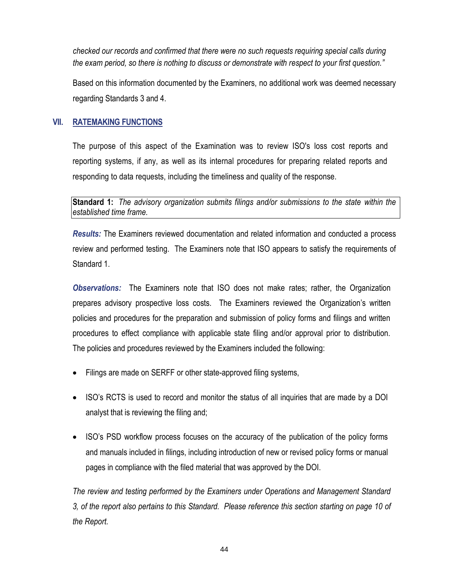*checked our records and confirmed that there were no such requests requiring special calls during the exam period, so there is nothing to discuss or demonstrate with respect to your first question."*

Based on this information documented by the Examiners, no additional work was deemed necessary regarding Standards 3 and 4.

#### **VII. RATEMAKING FUNCTIONS**

The purpose of this aspect of the Examination was to review ISO's loss cost reports and reporting systems, if any, as well as its internal procedures for preparing related reports and responding to data requests, including the timeliness and quality of the response.

**Standard 1:** *The advisory organization submits filings and/or submissions to the state within the established time frame.*

*Results:* The Examiners reviewed documentation and related information and conducted a process review and performed testing. The Examiners note that ISO appears to satisfy the requirements of Standard 1.

*Observations:* The Examiners note that ISO does not make rates; rather, the Organization prepares advisory prospective loss costs. The Examiners reviewed the Organization's written policies and procedures for the preparation and submission of policy forms and filings and written procedures to effect compliance with applicable state filing and/or approval prior to distribution. The policies and procedures reviewed by the Examiners included the following:

- Filings are made on SERFF or other state-approved filing systems,
- ISO's RCTS is used to record and monitor the status of all inquiries that are made by a DOI analyst that is reviewing the filing and;
- ISO's PSD workflow process focuses on the accuracy of the publication of the policy forms and manuals included in filings, including introduction of new or revised policy forms or manual pages in compliance with the filed material that was approved by the DOI.

*The review and testing performed by the Examiners under Operations and Management Standard 3, of the report also pertains to this Standard. Please reference this section starting on page 10 of the Report.*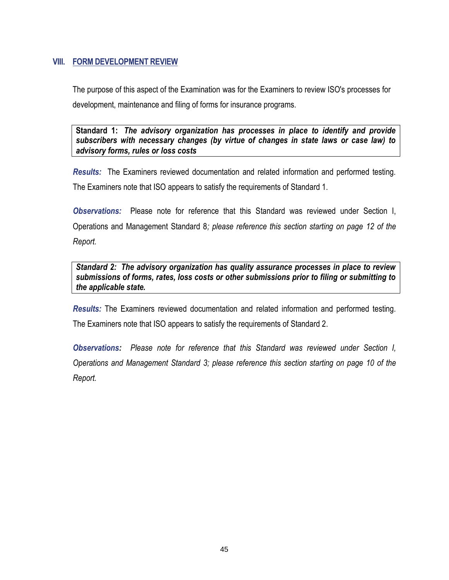#### **VIII. FORM DEVELOPMENT REVIEW**

The purpose of this aspect of the Examination was for the Examiners to review ISO's processes for development, maintenance and filing of forms for insurance programs.

**Standard 1:** *The advisory organization has processes in place to identify and provide subscribers with necessary changes (by virtue of changes in state laws or case law) to advisory forms, rules or loss costs*

*Results:* The Examiners reviewed documentation and related information and performed testing. The Examiners note that ISO appears to satisfy the requirements of Standard 1.

*Observations:* Please note for reference that this Standard was reviewed under Section I, Operations and Management Standard 8*; please reference this section starting on page 12 of the Report.* 

*Standard 2: The advisory organization has quality assurance processes in place to review submissions of forms, rates, loss costs or other submissions prior to filing or submitting to the applicable state.*

*Results:* The Examiners reviewed documentation and related information and performed testing. The Examiners note that ISO appears to satisfy the requirements of Standard 2.

*Observations: Please note for reference that this Standard was reviewed under Section I, Operations and Management Standard 3; please reference this section starting on page 10 of the Report.*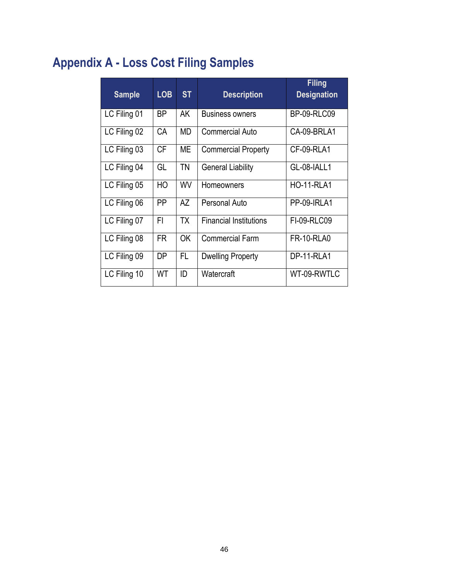# **Appendix A - Loss Cost Filing Samples**

| <b>Sample</b> | <b>LOB</b> | <b>ST</b> | <b>Description</b>            | <b>Filing</b><br><b>Designation</b> |
|---------------|------------|-----------|-------------------------------|-------------------------------------|
| LC Filing 01  | BP.        | AK        | <b>Business owners</b>        | <b>BP-09-RLC09</b>                  |
| LC Filing 02  | CA         | MD        | Commercial Auto               | CA-09-BRLA1                         |
| LC Filing 03  | <b>CF</b>  | MЕ        | <b>Commercial Property</b>    | CF-09-RLA1                          |
| LC Filing 04  | GL         | <b>TN</b> | <b>General Liability</b>      | GL-08-IALL1                         |
| LC Filing 05  | HO         | WV        | Homeowners                    | <b>HO-11-RLA1</b>                   |
| LC Filing 06  | PP         | AZ        | Personal Auto                 | PP-09-IRLA1                         |
| LC Filing 07  | FI         | <b>TX</b> | <b>Financial Institutions</b> | FI-09-RLC09                         |
| LC Filing 08  | <b>FR</b>  | <b>OK</b> | <b>Commercial Farm</b>        | <b>FR-10-RLA0</b>                   |
| LC Filing 09  | DP         | FL.       | <b>Dwelling Property</b>      | DP-11-RLA1                          |
| LC Filing 10  | WT         | ID        | Watercraft                    | WT-09-RWTLC                         |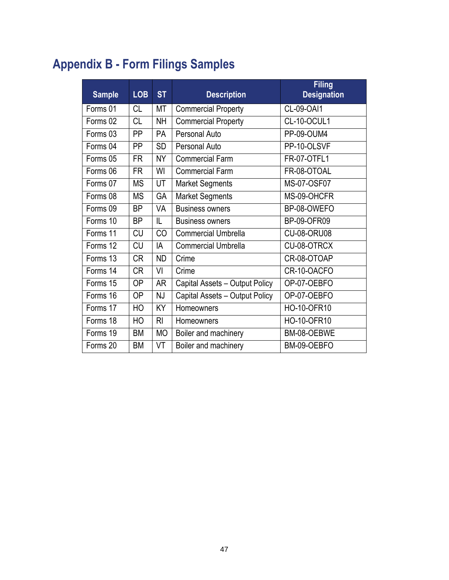# **Appendix B - Form Filings Samples**

| <b>Sample</b> | <b>LOB</b> | <b>ST</b>      | <b>Description</b>             | <b>Filing</b><br><b>Designation</b> |
|---------------|------------|----------------|--------------------------------|-------------------------------------|
| Forms 01      | <b>CL</b>  | МT             | <b>Commercial Property</b>     | CL-09-OAI1                          |
| Forms 02      | <b>CL</b>  | NΗ             | <b>Commercial Property</b>     | CL-10-OCUL1                         |
| Forms 03      | <b>PP</b>  | PA             | Personal Auto                  | PP-09-OUM4                          |
| Forms 04      | PP         | <b>SD</b>      | <b>Personal Auto</b>           | PP-10-OLSVF                         |
| Forms 05      | <b>FR</b>  | NΥ             | <b>Commercial Farm</b>         | FR-07-OTFL1                         |
| Forms 06      | <b>FR</b>  | WI             | <b>Commercial Farm</b>         | FR-08-OTOAL                         |
| Forms 07      | <b>MS</b>  | UT             | <b>Market Segments</b>         | MS-07-OSF07                         |
| Forms 08      | <b>MS</b>  | GA             | <b>Market Segments</b>         | MS-09-OHCFR                         |
| Forms 09      | <b>BP</b>  | VA             | <b>Business owners</b>         | BP-08-OWEFO                         |
| Forms 10      | <b>BP</b>  | IL             | <b>Business owners</b>         | <b>BP-09-OFR09</b>                  |
| Forms 11      | <b>CU</b>  | CO             | <b>Commercial Umbrella</b>     | <b>CU-08-ORU08</b>                  |
| Forms 12      | <b>CU</b>  | IA             | <b>Commercial Umbrella</b>     | CU-08-OTRCX                         |
| Forms 13      | <b>CR</b>  | <b>ND</b>      | Crime                          | CR-08-OTOAP                         |
| Forms 14      | <b>CR</b>  | VI             | Crime                          | CR-10-OACFO                         |
| Forms 15      | <b>OP</b>  | <b>AR</b>      | Capital Assets - Output Policy | OP-07-OEBFO                         |
| Forms 16      | <b>OP</b>  | NJ             | Capital Assets - Output Policy | OP-07-OEBFO                         |
| Forms 17      | HO         | KY             | Homeowners                     | HO-10-OFR10                         |
| Forms 18      | HO         | R <sub>l</sub> | Homeowners                     | <b>HO-10-OFR10</b>                  |
| Forms 19      | BM         | <b>MO</b>      | Boiler and machinery           | BM-08-OEBWE                         |
| Forms 20      | <b>BM</b>  | VT             | Boiler and machinery           | BM-09-OEBFO                         |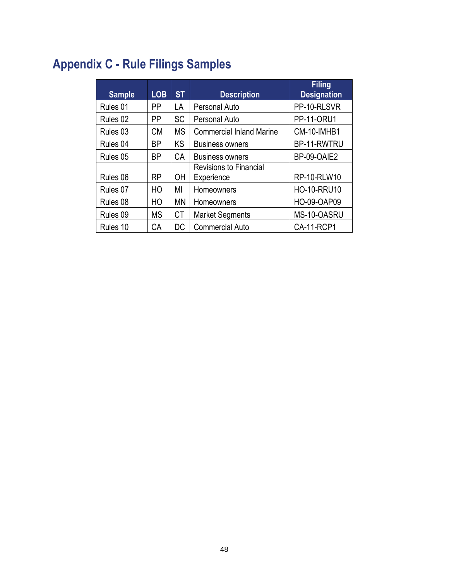# **Appendix C - Rule Filings Samples**

| <b>Sample</b>       | <b>LOB</b> | <b>ST</b> | <b>Description</b>              | <b>Filing</b><br><b>Designation</b> |
|---------------------|------------|-----------|---------------------------------|-------------------------------------|
| Rules 01            | PP         | LA        | Personal Auto                   | PP-10-RLSVR                         |
| Rules 02            | PP         | <b>SC</b> | Personal Auto                   | <b>PP-11-ORU1</b>                   |
| Rules 03            | <b>CM</b>  | <b>MS</b> | <b>Commercial Inland Marine</b> | CM-10-IMHB1                         |
| Rules 04            | <b>BP</b>  | <b>KS</b> | <b>Business owners</b>          | BP-11-RWTRU                         |
| Rules 05            | BP         | CA        | <b>Business owners</b>          | BP-09-OAIE2                         |
|                     |            |           | <b>Revisions to Financial</b>   |                                     |
| Rules 06            | <b>RP</b>  | ΟH        | Experience                      | <b>RP-10-RLW10</b>                  |
| Rules 07            | HO         | MI        | Homeowners                      | <b>HO-10-RRU10</b>                  |
| Rules 08            | HO         | <b>MN</b> | Homeowners                      | HO-09-OAP09                         |
| Rules <sub>09</sub> | <b>MS</b>  | <b>CT</b> | <b>Market Segments</b>          | MS-10-OASRU                         |
| Rules 10            | CA         | DC        | <b>Commercial Auto</b>          | <b>CA-11-RCP1</b>                   |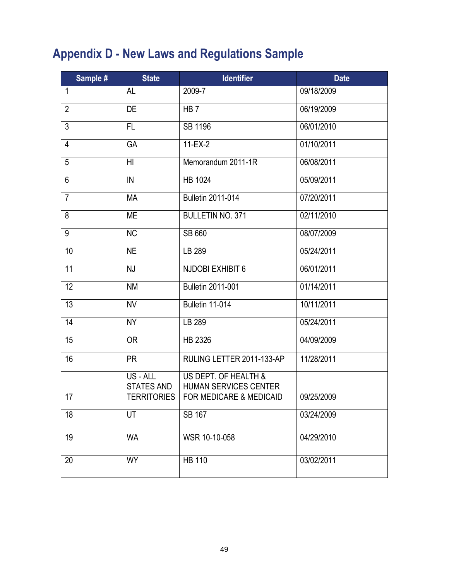# **Appendix D - New Laws and Regulations Sample**

| Sample #       | <b>State</b>                | <b>Identifier</b>                                                                             | <b>Date</b> |
|----------------|-----------------------------|-----------------------------------------------------------------------------------------------|-------------|
| $\mathbf{1}$   | AL                          | 2009-7                                                                                        | 09/18/2009  |
| $\overline{2}$ | DE                          | HB <sub>7</sub>                                                                               | 06/19/2009  |
| $\overline{3}$ | FL                          | SB 1196                                                                                       | 06/01/2010  |
| $\overline{4}$ | GA                          | 11-EX-2                                                                                       | 01/10/2011  |
| 5              | H <sub>l</sub>              | Memorandum 2011-1R                                                                            | 06/08/2011  |
| $\overline{6}$ | IN                          | <b>HB 1024</b>                                                                                | 05/09/2011  |
| $\overline{7}$ | <b>MA</b>                   | <b>Bulletin 2011-014</b>                                                                      | 07/20/2011  |
| $\overline{8}$ | <b>ME</b>                   | <b>BULLETIN NO. 371</b>                                                                       | 02/11/2010  |
| 9              | <b>NC</b>                   | SB 660                                                                                        | 08/07/2009  |
| 10             | <b>NE</b>                   | LB 289                                                                                        | 05/24/2011  |
| 11             | NJ                          | <b>NJDOBI EXHIBIT 6</b>                                                                       | 06/01/2011  |
| 12             | <b>NM</b>                   | <b>Bulletin 2011-001</b>                                                                      | 01/14/2011  |
| 13             | <b>NV</b>                   | Bulletin 11-014                                                                               | 10/11/2011  |
| 14             | <b>NY</b>                   | LB 289                                                                                        | 05/24/2011  |
| 15             | <b>OR</b>                   | HB 2326                                                                                       | 04/09/2009  |
| 16             | <b>PR</b>                   | RULING LETTER 2011-133-AP                                                                     | 11/28/2011  |
| 17             | US-ALL<br><b>STATES AND</b> | US DEPT. OF HEALTH &<br><b>HUMAN SERVICES CENTER</b><br>TERRITORIES   FOR MEDICARE & MEDICAID | 09/25/2009  |
| 18             | UT                          | SB 167                                                                                        | 03/24/2009  |
| 19             | <b>WA</b>                   | WSR 10-10-058                                                                                 | 04/29/2010  |
| 20             | <b>WY</b>                   | <b>HB 110</b>                                                                                 | 03/02/2011  |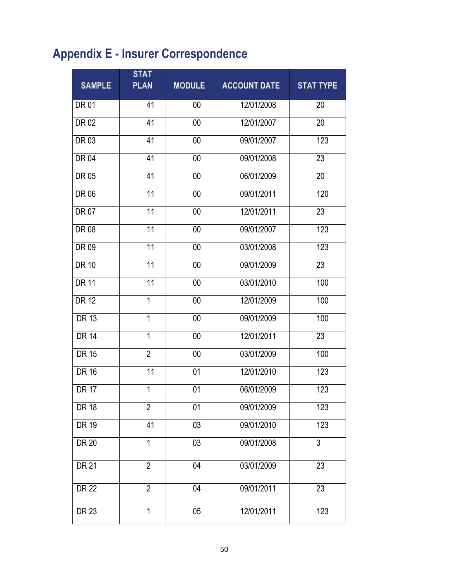# **Appendix E - Insurer Correspondence**

| <b>SAMPLE</b> | <b>STAT</b><br><b>PLAN</b> | <b>MODULE</b> | <b>ACCOUNT DATE</b> | <b>STAT TYPE</b> |
|---------------|----------------------------|---------------|---------------------|------------------|
| <b>DR 01</b>  | 41                         | 00            | 12/01/2008          | 20               |
| <b>DR02</b>   | 41                         | 00            | 12/01/2007          | 20               |
| DR 03         | 41                         | 00            | 09/01/2007          | 123              |
| <b>DR04</b>   | 41                         | $00\,$        | 09/01/2008          | $\overline{23}$  |
| DR 05         | 41                         | 00            | 06/01/2009          | 20               |
| DR 06         | 11                         | 00            | 09/01/2011          | 120              |
| DR 07         | $\overline{11}$            | 00            | 12/01/2011          | 23               |
| DR 08         | 11                         | 00            | 09/01/2007          | 123              |
| DR 09         | 11                         | 00            | 03/01/2008          | 123              |
| <b>DR 10</b>  | 11                         | 00            | 09/01/2009          | 23               |
| <b>DR 11</b>  | 11                         | 00            | 03/01/2010          | 100              |
| <b>DR 12</b>  | 1                          | 00            | 12/01/2009          | 100              |
| <b>DR 13</b>  | 1                          | 00            | 09/01/2009          | 100              |
| <b>DR 14</b>  | 1                          | 00            | 12/01/2011          | 23               |
| <b>DR 15</b>  | $\overline{2}$             | 00            | 03/01/2009          | 100              |
| <b>DR 16</b>  | 11                         | 01            | 12/01/2010          | 123              |
| <b>DR 17</b>  | 1                          | 01            | 06/01/2009          | 123              |
| <b>DR 18</b>  | $\overline{2}$             | 01            | 09/01/2009          | 123              |
| <b>DR 19</b>  | 41                         | 03            | 09/01/2010          | 123              |
| <b>DR 20</b>  | $\overline{1}$             | 03            | 09/01/2008          | $\overline{3}$   |
| <b>DR 21</b>  | $\overline{2}$             | 04            | 03/01/2009          | 23               |
| <b>DR 22</b>  | $\overline{2}$             | 04            | 09/01/2011          | 23               |
| DR 23         | $\mathbf{1}$               | 05            | 12/01/2011          | 123              |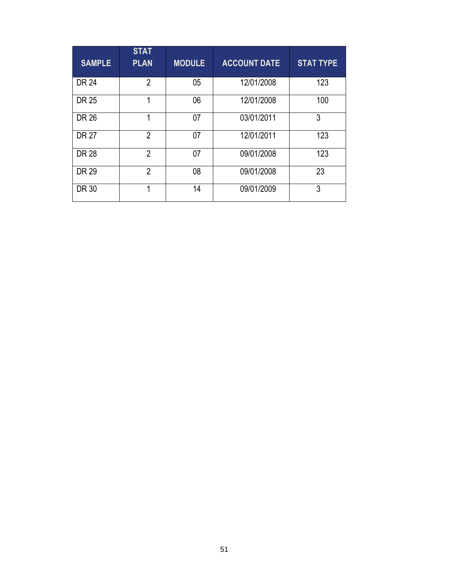| <b>SAMPLE</b> | <b>STAT</b><br><b>PLAN</b> | <b>MODULE</b> | <b>ACCOUNT DATE</b> | <b>STAT TYPE</b> |
|---------------|----------------------------|---------------|---------------------|------------------|
| <b>DR 24</b>  | $\overline{2}$             | 05            | 12/01/2008          | 123              |
| DR 25         | 1                          | 06            | 12/01/2008          | 100              |
| <b>DR 26</b>  |                            | 07            | 03/01/2011          | 3                |
| <b>DR 27</b>  | $\overline{2}$             | 07            | 12/01/2011          | 123              |
| <b>DR 28</b>  | $\overline{2}$             | 07            | 09/01/2008          | 123              |
| DR 29         | $\overline{2}$             | 08            | 09/01/2008          | 23               |
| <b>DR 30</b>  | 1                          | 14            | 09/01/2009          | 3                |